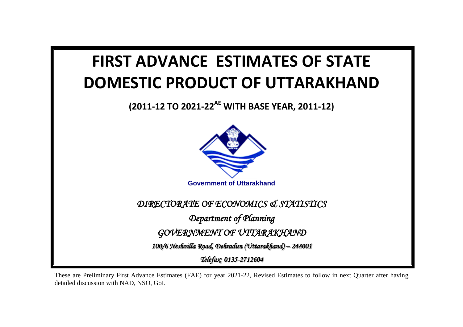

These are Preliminary First Advance Estimates (FAE) for year 2021-22, Revised Estimates to follow in next Quarter after having detailed discussion with NAD, NSO, GoI.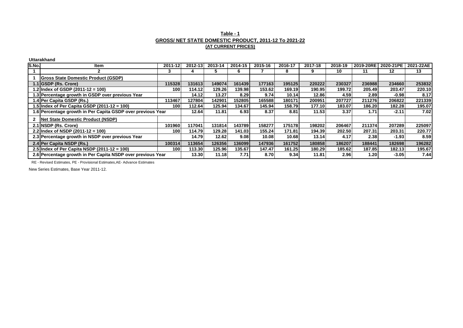## **Table - 1 GROSS/ NET STATE DOMESTIC PRODUCT, 2011-12 To 2021-22 (AT CURRENT PRICES)**

**Uttarakhand**

| S.No. | Item                                                        | 2011-12 | 2012-13 | 2013-14 | 2014-15 | 2015-16 | 2016-17 | 2017-18 | 2018-19 | 2019-20RE | 2020-21PE | 2021-22AE |
|-------|-------------------------------------------------------------|---------|---------|---------|---------|---------|---------|---------|---------|-----------|-----------|-----------|
|       |                                                             | -5      |         |         | 6       |         |         | 9       | 10      | 11        | 12        | 13.       |
|       | <b>IGross State Domestic Product (GSDP)</b>                 |         |         |         |         |         |         |         |         |           |           |           |
|       | 1.1 GSDP (Rs. Crore)                                        | 1153281 | 131613  | 149074  | 161439  | 177163  | 195125  | 220222  | 230327  | 236988    | 234660    | 253832    |
|       | 1.2 Index of GSDP (2011-12 = 100)                           | 100l    | 114.12  | 129.26  | 139.98  | 153.62  | 169.19  | 190.95  | 199.72  | 205.49    | 203.47    | 220.10    |
|       | 1.3 Percentage growth in GSDP over previous Year            |         | 14.12   | 13.27   | 8.29    | 9.74    | 10.14   | 12.86   | 4.59    | 2.89      | $-0.98$   | 8.17      |
|       | 1.4 Per Capita GSDP (Rs.)                                   | 113467  | 127804  | 142901  | 1528051 | 165588  | 180171  | 200951  | 207727  | 211276    | 206822    | 221339    |
|       | 1.5 Index of Per Capita GSDP $(2011-12 = 100)$              | 100l    | 112.64  | 125.94  | 134.67  | 145.94  | 158.79  | 177.10  | 183.07  | 186.20    | 182.28    | 195.07    |
|       | 1.6 Percentage growth in Per Capita GSDP over previous Year |         | 12.64   | 11.81   | 6.93    | 8.37    | 8.81    | 11.53   | 3.37    | 1.71      | $-2.11$   | 7.02      |
|       | Net State Domestic Product (NSDP)                           |         |         |         |         |         |         |         |         |           |           |           |
|       | 2.1 INSDP (Rs. Crore)                                       | 101960  | 117041  | 131814  | 143789  | 158277  | 175178  | 198202  | 206467  | 211374    | 207289    | 225097    |
|       | 2.2 Index of NSDP $(2011-12 = 100)$                         | 100 I   | 114.79  | 129.28  | 141.03  | 155.24  | 171.81  | 194.39  | 202.50  | 207.31    | 203.31    | 220.77    |
|       | 2.3 Percentage growth in NSDP over previous Year            |         | 14.79   | 12.62   | 9.08    | 10.08   | 10.68   | 13.14   | 4.17    | 2.38      | $-1.93$   | 8.59      |
|       | 2.4 Per Capita NSDP (Rs.)                                   | 100314  | 113654  | 126356  | 136099  | 147936  | 161752  | 180858  | 186207  | 188441    | 182698    | 196282    |
|       | 2.5 Index of Per Capita NSDP $(2011-12 = 100)$              | 100 I   | 113.30  | 125.96  | 135.67  | 147.47  | 161.25  | 180.29  | 185.62  | 187.85    | 182.13    | 195.67    |
|       | 2.6 Percentage growth in Per Capita NSDP over previous Year |         | 13.30   | 11.18   | 7.71    | 8.70    | 9.34    | 11.81   | 2.96    | 1.20      | $-3.05$   | 7.44      |

RE - Revised Estimates, PE - Provisional Estimates,AE- Advance Estimates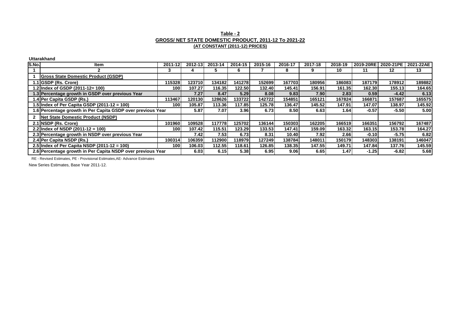### **Table - 2 GROSS/ NET STATE DOMESTIC PRODUCT, 2011-12 To 2021-22 (AT CONSTANT (2011-12) PRICES)**

**Uttarakhand**

| S.No. | ltem                                                        | 2011-12          | 2012-13 | 2013-14 | 2014-15 | 2015-16 | 2016-17 | 2017-18 | 2018-19 | 2019-20RE 2020-21PE |         | 2021-22AE |
|-------|-------------------------------------------------------------|------------------|---------|---------|---------|---------|---------|---------|---------|---------------------|---------|-----------|
|       |                                                             |                  |         |         | 6       |         |         |         | 10      | 11                  | 12      | 13        |
|       | <b>Gross State Domestic Product (GSDP)</b>                  |                  |         |         |         |         |         |         |         |                     |         |           |
|       | 1.1 GSDP (Rs. Crore)                                        | 115328           | 123710  | 134182  | 141278  | 152699  | 167703  | 180956  | 186083  | 187179              | 178912  | 189882    |
|       | 1.2 Index of GSDP (2011-12= 100)                            | 100              | 107.27  | 116.35  | 122.50  | 132.40  | 145.41  | 156.91  | 161.35  | 162.30              | 155.13  | 164.65    |
|       | 1.3 Percentage growth in GSDP over previous Year            |                  | 7.27    | 8.47    | 5.29    | 8.08    | 9.83    | 7.90 l  | 2.83    | 0.59                | $-4.42$ | 6.13      |
|       | 1.4 Per Capita GSDP (Rs.)                                   | 113467           | 120130  | 128626  | 133722  | 142722  | 154851  | 165121  | 167824  | 166871              | 157687  | 165575    |
|       | 1.5 Index of Per Capita GSDP $(2011-12 = 100)$              | <b>1001</b>      | 105.87  | 113.36  | 117.85  | 125.78  | 136.47  | 145.52  | 147.91  | 147.07              | 138.97  | 145.92    |
|       | 1.6 Percentage growth in Per Capita GSDP over previous Year |                  | 5.87    | 7.07    | 3.96    | 6.73    | 8.50    | 6.63    | 1.64    | $-0.57$             | $-5.50$ | 5.00      |
|       | Net State Domestic Product (NSDP)                           |                  |         |         |         |         |         |         |         |                     |         |           |
|       | 2.1 NSDP (Rs. Crore)                                        | 101960           | 109528  | 117778  | 1257021 | 136144  | 150303  | 162205  | 166519  | 166351              | 156792  | 167487    |
|       | 2.2 Index of NSDP $(2011-12 = 100)$                         | <b>1001</b>      | 107.42  | 115.51  | 123.29  | 133.53  | 147.41  | 159.09  | 163.32  | 163.15              | 153.78  | 164.27    |
|       | 2.3 Percentage growth in NSDP over previous Year            |                  | 7.421   | 7.53    | 6.73    | 8.31    | 10.40   | 7.92 l  | 2.66    | $-0.10$             | $-5.75$ | 6.82      |
|       | 2.4 Per Capita NSDP (Rs.)                                   | 100314           | 106359  | 1129001 | 1189791 | 127249  | 138784  | 148011  | 150179  | 148303              | 138191  | 146047    |
|       | 2.5 Index of Per Capita NSDP $(2011-12 = 100)$              | 100 <sup>1</sup> | 106.03  | 112.55  | 118.61  | 126.85  | 138.35  | 147.55  | 149.71  | 147.84              | 137.76  | 145.59    |
|       | 2.6 Percentage growth in Per Capita NSDP over previous Year |                  | 6.03    | 6.15I   | 5.38    | 6.95    | 9.06    | 6.65    | 1.47    | $-1.25$             | $-6.82$ | 5.68      |

RE - Revised Estimates, PE - Provisional Estimates,AE- Advance Estimates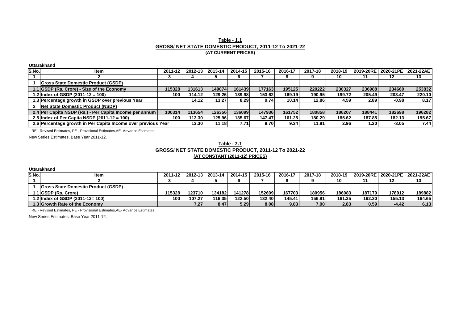#### **Table - 1.1 GROSS/ NET STATE DOMESTIC PRODUCT, 2011-12 To 2021-22 (AT CURRENT PRICES)**

**Uttarakhand**

| <b>S.No.</b> | ltem                                                          | 2011-12 | 2012-13 | 2013-14 | 2014-15 | 2015-16 | 2016-17 | 2017-18 | 2018-19 |              | 2019-20RE 2020-21PE | 2021-22AE |
|--------------|---------------------------------------------------------------|---------|---------|---------|---------|---------|---------|---------|---------|--------------|---------------------|-----------|
|              |                                                               |         |         |         |         |         |         |         | 10      |              | 12                  | 13        |
|              | <b>Gross State Domestic Product (GSDP)</b>                    |         |         |         |         |         |         |         |         |              |                     |           |
|              | 1.1 GSDP (Rs. Crore) - Size of the Economy                    | 115328  | 1316131 | 149074  | 161439  | 177163  | 195125  | 220222  | 230327  | 236988       | 234660              | 253832    |
|              | 1.2 Index of GSDP (2011-12 = 100)                             | 100 l   | 114.12  | 129.26  | 139.98  | 153.62  | 169.19  | 190.95  | 199.72  | 205.49       | 203.47              | 220.10    |
|              | 1.3 Percentage growth in GSDP over previous Year              |         | 14.12   | 13.27   | 8.29    | 9.74    | 10.14   | 12.86   | 4.59    | <b>2.891</b> | $-0.98$             | 8.17      |
|              | Net State Domestic Product (NSDP)                             |         |         |         |         |         |         |         |         |              |                     |           |
|              | 2.4 Per Capita NSDP (Rs.) - Per Capita Income per annum       | 100314  | 113654  | 126356  | 1360991 | 147936  | 161752  | 180858  | 186207  | 188441       | 182698              | 196282    |
|              | 2.5 Index of Per Capita NSDP $(2011-12 = 100)$                | 1001    | 113.30  | 125.96  | 135.67  | 147.47  | 161.25  | 180.29  | 185.62  | 187.85       | 182.13              | 195.67    |
|              | 2.6 Percentage growth in Per Capita Income over previous Year |         | 13.30   | 11.18   | 7.71    | 8.70    | 9.34    | 11.81   | 2.96    | 1.20 l       | $-3.05$             | 7.44      |

RE - Revised Estimates, PE - Provisional Estimates,AE- Advance Estimates

New Series Estimates, Base Year 2011-12.

#### **Table - 2.1 GROSS/ NET STATE DOMESTIC PRODUCT, 2011-12 To 2021-22 (AT CONSTANT (2011-12) PRICES)**

**Uttarakhand**

| S.No. | ltem                                        | 2011-12 | $2012 - 13$ | 2013-14 | 2014-15  | 2015-16           | 2016-17 | 2017-18 | 2018-19 |        | 12019-20RE12020-21PE12021-22AE1 |        |
|-------|---------------------------------------------|---------|-------------|---------|----------|-------------------|---------|---------|---------|--------|---------------------------------|--------|
|       |                                             |         |             |         |          |                   |         |         | 10      |        |                                 |        |
|       | <b>IGross State Domestic Product (GSDP)</b> |         |             |         |          |                   |         |         |         |        |                                 |        |
|       | 1.1 GSDP (Rs. Crore)                        | 15328   | 1237101     | 134182  | 141278   | 152699            | 167703  | 1809561 | 186083  | 187179 | 178912                          | 189882 |
|       | .2lindex of GSDP (2011-12= 100)             | 100     | 107.27      | 116.35  | 122.50 l | 132.40            | 145.41  | 156.91  | 161.35  | 162.30 | 155.13                          | 164.65 |
|       | 1.3 Growth Rate of the Economy l            |         | 7.27 I      | 8.47    | 5.29 l   | 8.08 <sub>l</sub> | 9.831   | 7.90    | 2.83    | 0.591  | -4.421                          | 6.13   |

RE - Revised Estimates, PE - Provisional Estimates,AE- Advance Estimates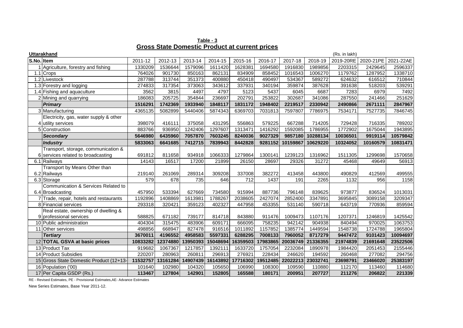**Table - 3 Gross State Domestic Product at current prices**

|            | <b>Uttarakhand</b>                      |          |          |          |          |          |          |          |          | (Rs. in lakh) |           |           |
|------------|-----------------------------------------|----------|----------|----------|----------|----------|----------|----------|----------|---------------|-----------|-----------|
| S.No. Item |                                         | 2011-12  | 2012-13  | 2013-14  | 2014-15  | 2015-16  | 2016-17  | 2017-18  | 2018-19  | 2019-20RE     | 2020-21PE | 2021-22AE |
|            | Agriculture, forestry and fishing       | 1330209  | 1536644  | 1579096  | 1611420  | 1628381  | 1694580  | 1916830  | 1989856  | 2203315       | 2429645   | 2596337   |
|            | 1.1 Crops                               | 764026   | 901730   | 850163   | 862131   | 834909   | 858452   | 1016543  | 1006270  | 1179762       | 1287952   | 1338710   |
|            | 1.2 Livestock                           | 287788   | 313744   | 351373   | 400880   | 450418   | 490497   | 534367   | 589272   | 624632        | 616512    | 710844    |
|            | 1.3 Forestry and logging                | 274833   | 317354   | 373063   | 343612   | 337931   | 340194   | 359874   | 387628   | 391638        | 518203    | 539291    |
|            | 1.4 Fishing and aquaculture             | 3562     | 3815     | 4497     | 4797     | 5123     | 5437     | 6045     | 6687     | 7283          | 6979      | 7492      |
|            | 2 Mining and quarrying                  | 186083   | 205725   | 354844   | 236697   | 202791   | 253822   | 302687   | 341086   | 287550        | 241466    | 251629    |
|            | <b>Primary</b>                          | 1516291  | 1742369  | 1933940  | 1848117  | 1831172  | 1948402  | 2219517  | 2330942  | 2490866       | 2671111   | 2847967   |
|            | 3 Manufacturing                         | 4365135  | 5082899  | 5440406  | 5874343  | 6369703  | 7031813  | 7597807  | 7786975  | 7534171       | 7527735   | 7846745   |
|            | Electricity, gas, water supply & other  |          |          |          |          |          |          |          |          |               |           |           |
|            | 4 utility services                      | 398079   | 416111   | 375058   | 431295   | 556863   | 579225   | 667288   | 714205   | 729428        | 716335    | 789202    |
|            | 5 Construction                          | 883766   | 936950   | 1242406  | 1297607  | 1313471  | 1416292  | 1592085  | 1786955  | 1772902       | 1675044   | 1943895   |
|            | <b>Secondary</b>                        | 5646980  | 6435960  | 7057870  | 7603245  | 8240036  | 9027329  | 9857180  | 10288134 | 10036501      | 9919114   | 10579842  |
|            | <b>Industry</b>                         | 5833063  | 6641685  | 7412715  | 7839943  | 8442828  | 9281152  | 10159867 | 10629220 | 10324052      | 10160579  | 10831471  |
|            | Transport, storage, communication &     |          |          |          |          |          |          |          |          |               |           |           |
|            | 6 services related to broadcasting      | 691812   | 811658   | 934918   | 1066333  | 1279864  | 1300141  | 1239123  | 1316962  | 1511305       | 1299698   | 1570658   |
|            | 6.1 Railways                            | 14143    | 16517    | 17200    | 21899    | 26150    | 28697    | 29326    | 31272    | 45468         | 49649     | 56913     |
|            | Transport by Means Other than           |          |          |          |          |          |          |          |          |               |           |           |
|            | 6.2 Railways                            | 219140   | 261069   | 289314   | 309208   | 337008   | 382272   | 413458   | 443800   | 490829        | 412569    | 499555    |
|            | 6.3 Storage                             | 579      | 678      | 735      | 646      | 712      | 1437     | 191      | 2265     | 1132          | 956       | 1158      |
|            | Communication & Services Related to     |          |          |          |          |          |          |          |          |               |           |           |
|            | 6.4 Broadcasting                        | 457950   | 533394   | 627669   | 734580   | 915994   | 887736   | 796148   | 839625   | 973877        | 836524    | 1013031   |
|            | 7 Trade, repair, hotels and restaurants | 1192896  | 1408869  | 1613981  | 1788267  | 2038605  | 2427074  | 2852400  | 3347891  | 3695845       | 3089158   | 3209347   |
|            | 8 Financial services                    | 293318   | 320421   | 359123   | 402327   | 447958   | 453355   | 531140   | 590718   | 643719        | 770936    | 859594    |
|            | Real estate, ownership of dwelling &    |          |          |          |          |          |          |          |          |               |           |           |
|            | 9 professional services                 | 588825   | 671182   | 739177   | 814718   | 843880   | 911476   | 1009473  | 1107176  | 1207371       | 1246819   | 1425542   |
|            | 10 Public administration                | 404304   | 315475   | 483906   | 609171   | 666095   | 758235   | 942142   | 904938   | 840494        | 970025    | 1063753   |
|            | 11 Other services                       | 498856   | 668947   | 827478   | 916516   | 1011892  | 1157852  | 1385774  | 1449594  | 1548738       | 1724788   | 1965804   |
|            | <b>Tertiary</b>                         | 3670011  | 4196552  | 4958583  | 5597331  | 6288295  | 7008133  | 7960052  | 8717279  | 9447472       | 9101423   | 10094697  |
|            | 12 TOTAL GSVA at basic prices           | 10833282 | 12374880 | 13950393 | 15048694 | 16359503 | 17983865 | 20036749 | 21336355 | 21974839      | 21691648  | 23522506  |
|            | 13 Product Tax                          | 919682   | 1067367  | 1217857  | 1392111  | 1633720  | 1757054  | 2232084  | 1890978  | 1984420       | 2051453   | 2155446   |
|            | 14 Product Subsidies                    | 220207   | 280963   | 260811   | 296913   | 276921   | 228434   | 246620   | 194592   | 260468        | 277082    | 294756    |
|            | 15 Gross State Domestic Product (12+13- | 11532757 | 13161284 | 14907439 | 16143892 | 17716302 | 19512485 | 22022213 | 23032741 | 23698791      | 23466020  | 25383197  |
|            | 16 Population ('00)                     | 101640   | 102980   | 104320   | 105650   | 106990   | 108300   | 109590   | 110880   | 112170        | 113460    | 114680    |
|            | 17 Per Capita GSDP (Rs.)                | 113467   | 127804   | 142901   | 152805   | 165588   | 180171   | 200951   | 207727   | 211276        | 206822    | 221339    |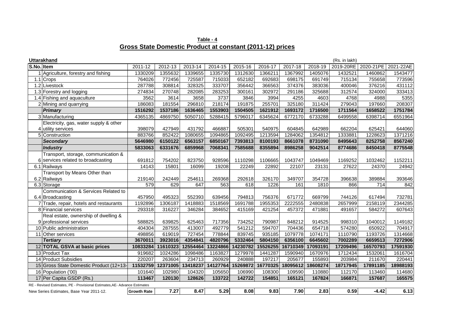**Table - 4 Gross State Domestic Product at constant (2011-12) prices**

|            | <b>Uttarakhand</b>                                                        |                    |          |          |          |          |          |          |          | (Rs. in lakh) |           |           |
|------------|---------------------------------------------------------------------------|--------------------|----------|----------|----------|----------|----------|----------|----------|---------------|-----------|-----------|
| S.No. Item |                                                                           | 2011-12            | 2012-13  | 2013-14  | 2014-15  | 2015-16  | 2016-17  | 2017-18  | 2018-19  | 2019-20RE     | 2020-21PE | 2021-22AE |
|            | Agriculture, forestry and fishing                                         | 1330209            | 1355632  | 1339655  | 1335730  | 1312630  | 1366211  | 1367992  | 1405076  | 1432521       | 1460862   | 1543477   |
|            | 1.1 Crops                                                                 | 764026             | 772456   | 725587   | 715033   | 652182   | 692683   | 698175   | 691749   | 715134        | 755658    | 773596    |
|            | 1.2 Livestock                                                             | 287788             | 308814   | 328325   | 333707   | 356442   | 366563   | 374376   | 383036   | 400046        | 376216    | 431112    |
|            | 1.3 Forestry and logging                                                  | 274834             | 270748   | 282085   | 283253   | 300161   | 302972   | 291186   | 325688   | 312574        | 324000    | 333413    |
|            | 1.4 Fishing and aquaculture                                               | 3562               | 3614     | 3658     | 3737     | 3846     | 3994     | 4255     | 4603     | 4768          | 4988      | 5355      |
|            | 2 Mining and quarrying                                                    | 186083             | 181554   | 296810   | 218174   | 191875   | 255701   | 325180   | 311424   | 279043        | 197660    | 208307    |
|            | <b>Primary</b>                                                            | 1516292            | 1537186  | 1636465  | 1553903  | 1504505  | 1621912  | 1693172  | 1716500  | 1711564       | 1658522   | 1751784   |
|            | 3 Manufacturing                                                           | 4365135            | 4869750  | 5050710  | 5288415  | 5796017  | 6345624  | 6772170  | 6733288  | 6499558       | 6398714   | 6551964   |
|            | Electricity, gas, water supply & other                                    |                    |          |          |          |          |          |          |          |               |           |           |
|            | 4 utility services                                                        | 398079             | 427949   | 431792   | 466887   | 505301   | 540975   | 604845   | 642989   | 662204        | 625421    | 644060    |
|            | 5 Construction                                                            | 883766             | 852422   | 1080655  | 1094865  | 1092495  | 1213594  | 1284062  | 1354812  | 1333881       | 1228623   | 1371216   |
|            | <b>Secondary</b>                                                          | 5646980            | 6150122  | 6563157  | 6850167  | 7393813  | 8100193  | 8661078  | 8731090  | 8495643       | 8252758   | 8567240   |
|            | <b>Industry</b>                                                           | 5833063            | 6331676  | 6859968  | 7068341  | 7585688  | 8355894  | 8986258  | 9042514  | 8774686       | 8450418   | 8775548   |
|            | Transport, storage, communication &                                       |                    |          |          |          |          |          |          |          |               |           |           |
|            | 6 services related to broadcasting                                        | 691812             | 754202   | 823750   | 928596   | 1110298  | 1106665  | 1043747  | 1049469  | 1169252       | 1032462   | 1152211   |
|            | 6.1 Railways                                                              | 14143              | 15801    | 16099    | 19208    | 22249    | 22892    | 22107    | 23131    | 27622         | 24370     | 24942     |
|            | Transport by Means Other than                                             |                    |          |          |          |          |          |          |          |               |           |           |
|            | 6.2 Railways                                                              | 219140             | 242449   | 254611   | 269368   | 292618   | 326170   | 349707   | 354728   | 396638        | 389884    | 393646    |
|            | 6.3 Storage                                                               | 579                | 629      | 647      | 563      | 618      | 1226     | 161      | 1810     | 866           | 714       | 842       |
|            | Communication & Services Related to                                       |                    |          |          |          |          |          |          |          |               |           |           |
|            | 6.4 Broadcasting                                                          | 457950             | 495323   | 552393   | 639456   | 794813   | 756376   | 671772   | 669799   | 744126        | 617494    | 732781    |
|            | 7 Trade, repair, hotels and restaurants                                   | 1192896            | 1306187  | 1418883  | 1518569  | 1691788  | 1955353  | 2222555  | 2480838  | 2657999       | 2158119   | 2344285   |
|            | 8 Financial services                                                      | 293318             | 316227   | 346284   | 384652   | 415169   | 421254   | 457372   | 471881   | 491657        | 584272    | 607643    |
|            | Real estate, ownership of dwelling &                                      |                    |          |          |          |          |          |          |          |               |           |           |
|            | 9 professional services                                                   | 588825             | 639825   | 625463   | 717356   | 734252   | 790987   | 848212   | 914525   | 998310        | 1040012   | 1149182   |
|            | 10 Public administration                                                  | 404304             | 287555   | 413007   | 492779   | 541212   | 594707   | 704436   | 654718   | 574280        | 650922    | 704917    |
|            | 11 Other services                                                         | 498856             | 619019   | 727454   | 778844   | 839745   | 935185   | 1079778  | 1074171  | 1110790       | 1193726   | 1314668   |
|            | <b>Tertiary</b>                                                           | 3670011            | 3923016  | 4354841  | 4820796  | 5332464  | 5804150  | 6356100  | 6645602  | 7002289       | 6659513   | 7272906   |
|            | 12 TOTAL GSVA at basic prices                                             | 10833284           | 11610323 | 12554464 | 13224866 | 14230782 | 15526255 | 16710349 | 17093191 | 17209496      | 16570793  | 17591930  |
|            | 13 Product Tax                                                            | 919682             | 1024286  | 1098486  | 1163827  | 1279978  | 1441287  | 1590940  | 1670976  | 1712434       | 1532061   | 1616704   |
|            | 14 Product Subsidies                                                      | 220207             | 263604   | 234713   | 260929   | 240888   | 197217   | 205677   | 155893   | 203984        | 211670    | 220441    |
|            | 15 Gross State Domestic Product (12+13-                                   | 11532759           | 12371005 | 13418237 | 14127764 | 15269872 | 16770325 | 18095612 | 18608274 | 18717945      | 17891185  | 18988193  |
|            | 16 Population ('00)                                                       | 101640             | 102980   | 104320   | 105650   | 106990   | 108300   | 109590   | 110880   | 112170        | 113460    | 114680    |
|            | 17 Per Capita GSDP (Rs.)                                                  | 113467             | 120130   | 128626   | 133722   | 142722   | 154851   | 165121   | 167824   | 166871        | 157687    | 165575    |
|            | RE - Revised Estimates, PE - Provisional Estimates, AE- Advance Estimates |                    |          |          |          |          |          |          |          |               |           |           |
|            | New Series Estimates, Base Year 2011-12.                                  | <b>Growth Rate</b> | 7.27     | 8.47     | 5.29     | 8.08     | 9.83     | 7.90     | 2.83     | 0.59          | $-4.42$   | 6.13      |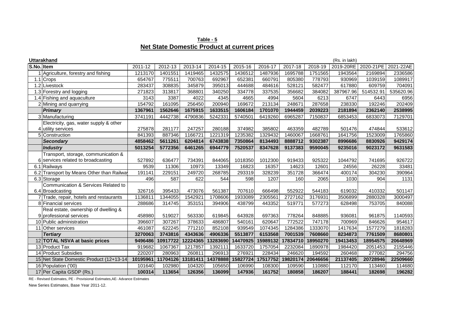**Table - 5 Net State Domestic Product at current prices**

|            | <b>Uttarakhand</b><br>(Rs. in lakh)       |                   |                   |                    |                    |                    |                    |                    |                    |                    |                    |                    |
|------------|-------------------------------------------|-------------------|-------------------|--------------------|--------------------|--------------------|--------------------|--------------------|--------------------|--------------------|--------------------|--------------------|
| S.No. Item |                                           | 2011-12           | 2012-13           | 2013-14            | 2014-15            | 2015-16            | 2016-17            | 2017-18            | 2018-19            | 2019-20RE          | 2020-21PE          | 2021-22AE          |
|            | Agriculture, forestry and fishing         | 1213170           | 1401551           | 1419465            | 1432575            | 1436512            | 1487936            | 1695788            | 1751565            | 1943564            | 2169894            | 2336586            |
|            | $1.1$ Crops                               | 654767            | 775511            | 700763             | 692967             | 652381             | 660791             | 805380             | 778793             | 930969             | 1039159            | 1089917            |
|            | 1.2 Livestock                             | 283437            | 308835            | 345879             | 395013             | 444688             | 484616             | 528121             | 582477             | 617880             | 609759             | 704091             |
|            | 1.3 Forestry and logging                  | 271823            | 313817            | 368801             | 340250             | 334778             | 337535             | 356682             | 384082             | 387967.96          | 514532.91          | 535620.96          |
|            | 1.4 Fishing and aquaculture               | 3143              | 3387              | 4022               | 4345               | 4665               | 4994               | 5604               | 6213               | 6747               | 6443               | 6956               |
|            | 2 Mining and quarrying                    | 154792            | 161095            | 256450             | 200940             | 169672             | 213134             | 248671             | 287658             | 238330             | 192246             | 202409             |
|            | <b>Primary</b>                            | 1367961           | 1562646           | 1675915            | 1633515            | 1606184            | 1701070            | 1944459            | 2039223            | 2181894            | 2362140            | 2538995            |
|            | 3 Manufacturing                           | 3741191           | 4442738           | 4790836            | 5242331            | 5740501            | 6419260            | 6965287            | 7150837            | 6853453            | 6833073            | 7129701            |
|            | Electricity, gas, water supply & other    |                   |                   |                    |                    |                    |                    |                    |                    |                    |                    |                    |
|            | 4 utility services                        | 275878            | 281177            | 247257             | 280188             | 374982             | 385802             | 463359             | 482789             | 501476             | 474844             | 533612             |
|            | 5 Construction<br><b>Secondary</b>        | 841393<br>4858462 | 887346<br>5611261 | 1166721<br>6204814 | 1221319<br>6743838 | 1235382<br>7350864 | 1329432<br>8134493 | 1460067<br>8888712 | 1668761<br>9302387 | 1641756<br>8996686 | 1523009<br>8830926 | 1765860<br>9429174 |
|            |                                           |                   |                   |                    |                    |                    |                    |                    |                    |                    |                    |                    |
|            | Industry                                  | 5013254           | 5772356           | 6461265            | 6944779            | 7520537            | 8347628            | 9137383            | 9590045            | 9235016            | 9023172            | 9631583            |
|            | Transport, storage, communication &       |                   |                   |                    |                    |                    |                    |                    |                    |                    |                    |                    |
|            | 6 services related to broadcasting        | 527892            | 636477            | 734391             | 844065             | 1018350            | 1012300            | 919433             | 925322             | 1044792            | 741695             | 926722             |
|            | 6.1 Railways                              | 9539              | 11306             | 10973              | 13349              | 16823              | 16357              | 14623              | 12601              | 24556              | 26228              | 33481              |
|            | 6.2 Transport by Means Other than Railway | 191141            | 229151            | 249720             | 268785             | 293319             | 328239             | 351728             | 366474             | 400174             | 304230             | 390964             |
|            | 6.3 Storage                               | 496               | 587               | 622                | 544                | 598                | 1207               | 160                | 2065               | 1030               | 904                | 1131               |
|            | Communication & Services Related to       |                   |                   |                    |                    |                    |                    |                    |                    |                    |                    |                    |
|            | 6.4 Broadcasting                          | 326716            | 395433            | 473076             | 561387             | 707610             | 666498             | 552922             | 544183             | 619032             | 410332             | 501147             |
|            | 7 Trade, repair, hotels and restaurants   | 1136811           | 1344055           | 1542921            | 1708606            | 1933089            | 2305561            | 2727162            | 3176931            | 3506899            | 2880328            | 3000497            |
|            | 8 Financial services                      | 288686            | 314745            | 353151             | 394906             | 438799             | 443352             | 519771             | 577273             | 628498             | 753705             | 840088             |
|            | Real estate, ownership of dwelling &      |                   |                   |                    |                    |                    |                    |                    |                    |                    |                    |                    |
|            | 9 professional services                   | 458980            | 519027            | 563330             | 619845             | 643928             | 697363             | 778264             | 848885             | 936081             | 961875             | 1140593            |
|            | 10 Public administration                  | 396607            | 307267            | 378633             | 486807             | 540161             | 620647             | 772522             | 747178             | 700969             | 846626             | 954617             |
|            | 11 Other services                         | 461087            | 622245            | 771210             | 852108             | 939549             | 1074345            | 1284386            | 1333070            | 1417634            | 1577279            | 1818283            |
|            | <b>Tertiary</b>                           | 3270063           | 3743816           | 4343636            | 4906336            | 5513877            | 6153568            | 7001539            | 7608660            | 8234873            | 7761509            | 8680801            |
|            | 12 TOTAL NSVA at basic prices             | 9496486           | 10917722          | 12224365           | 13283690           | 14470925           | 15989132           | 17834710           | 18950270           | 19413453           | 18954575           | 20648969           |
|            | 13 Product Tax                            | 919682            | 1067367           | 1217857            | 1392111            | 1633720            | 1757054            | 2232084            | 1890978            | 1984420            | 2051453            | 2155446            |
|            | 14 Product Subsidies                      | 220207            | 280963            | 260811             | 296913             | 276921             | 228434             | 246620             | 194592             | 260468             | 277082             | 294756             |
|            | 15 Net State Domestic Product (12+13-14   | 10195961          | 11704126          | 13181411           | 14378888           | 15827724           | 17517752           | 19820174           | 20646656           | 21137405           | 20728946           | 22509660           |
|            | 16 Population ('00)                       | 101640            | 102980            | 104320             | 105650             | 106990             | 108300             | 109590             | 110880             | 112170             | 113460             | 114680             |
|            | 17 Per Capita GSDP (Rs.)                  | 100314            | 113654            | 126356             | 136099             | 147936             | 161752             | 180858             | 186207             | 188441             | 182698             | 196282             |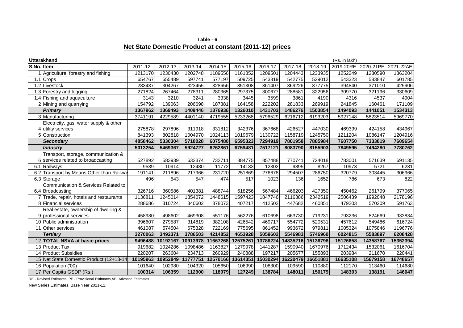# **Net State Domestic Product at constant (2011-12) prices Table - 6**

|            | <b>Uttarakhand</b>                        |          |          |          |          |                   |          |          |          | (Rs. in lakh) |           |           |
|------------|-------------------------------------------|----------|----------|----------|----------|-------------------|----------|----------|----------|---------------|-----------|-----------|
| S.No. Item |                                           | 2011-12  | 2012-13  | 2013-14  | 2014-15  | 2015-16           | 2016-17  | 2017-18  | 2018-19  | 2019-20RE     | 2020-21PE | 2021-22AE |
|            | Agriculture, forestry and fishing         | 1213170  | 1230430  | 1202748  | 1189556  | 1161852           | 1209501  | 1204443  | 1233935  | 1252249       | 1280590   | 1363204   |
|            | 1.1 Crops                                 | 654767   | 655489   | 597741   | 577197   | 509725            | 543819   | 542775   | 529012   | 543323        | 583847    | 601785    |
|            | 1.2 Livestock                             | 283437   | 304267   | 323455   | 328656   | 351308            | 361407   | 369226   | 377775   | 394840        | 371010    | 425906    |
|            | 1.3 Forestry and logging                  | 271824   | 267464   | 278311   | 280365   | 297375            | 300677   | 288581   | 322956   | 309770        | 321196    | 330609    |
|            | 1.4 Fishing and aquaculture               | 3143     | 3210     | 3241     | 3338     | 3445              | 3599     | 3861     | 4190     | 4316          | 4537      | 4904      |
|            | 2 Mining and quarrying                    | 154792   | 139063   | 206698   | 187381   | 164158            | 222202   | 281833   | 269919   | 241845        | 160461    | 171109    |
|            | <b>Primary</b>                            | 1367962  | 1369493  | 1409446  | 1376936  | 1326010           | 1431703  | 1486276  | 1503854  | 1494093       | 1441051   | 1534313   |
|            | 3 Manufacturing                           | 3741191  | 4229589  | 4401140  | 4719555  | 5233268           | 5796529  | 6216712  | 6193203  | 5927148       | 5823514   | 5969770   |
|            | Electricity, gas, water supply & other    |          |          |          |          |                   |          |          |          |               |           |           |
|            | 4 utility services                        | 275878   | 297896   | 311918   | 331812   | 342376            | 367668   | 426527   | 447030   | 469399        | 424158    | 434967    |
|            | 5 Construction                            | 841393   | 802818   | 1004970  | 1024113  | 1019679           | 1130722  | 1158719  | 1245750  | 1211204       | 1086147   | 1204916   |
|            | <b>Secondary</b>                          | 4858462  | 5330304  | 5718028  | 6075480  | 6595323           | 7294919  | 7801958  | 7885984  | 7607750       | 7333819   | 7609654   |
|            | <b>Industry</b>                           | 5013254  | 5469367  | 5924727  | 6262861  | 6759481           | 7517121  | 8083790  | 8155903  | 7849595       | 7494280   | 7780762   |
|            | Transport, storage, communication &       |          |          |          |          |                   |          |          |          |               |           |           |
|            | 6 services related to broadcasting        | 527892   | 583939   | 632374   | 732711   | 884775            | 857488   | 770741   | 724018   | 783001        | 571639    | 691135    |
|            | 6.1 Railways                              | 9539     | 10914    | 12480    | 11772    | 14133             | 12302    | 9895     | 8267     | 10973         | 5721      | 6281      |
|            | 6.2 Transport by Means Other than Railway | 191141   | 211896   | 217966   | 231720   | 251869            | 276678   | 294507   | 286750   | 320779        | 303445    | 306966    |
|            | 6.3 Storage                               | 496      | 543      | 547      | 474      | 517               | 1023     | 136      | 1652     | 786           | 673       | 822       |
|            | Communication & Services Related to       |          |          |          |          |                   |          |          |          |               |           |           |
|            | 6.4 Broadcasting                          | 326716   | 360586   | 401381   | 488744   | 618256            | 567484   | 466203   | 427350   | 450462        | 261799    | 377065    |
|            | 7 Trade, repair, hotels and restaurants   | 1136811  | 1245014  | 1354072  | 1448615  | 1597423           | 1847746  | 2116386  | 2342519  | 2506439       | 1992048   | 2178196   |
|            | 8 Financial services                      | 288686   | 310724   | 340602   | 378073   | 407217            | 412502   | 447682   | 460851   | 479203        | 570209    | 591763    |
|            | Real estate, ownership of dwelling &      |          |          |          |          |                   |          |          |          |               |           |           |
|            | 9 professional services                   | 458980   | 498602   | 469308   | 551176   | 562276            | 610698   | 663730   | 719231   | 793236        | 824669    | 933834    |
|            | 10 Public administration                  | 396607   | 279587   | 314819   | 382108   | 426542            | 469717   | 554772   | 520531   | 457612        | 549486    | 616724    |
|            | 11 Other services                         | 461087   | 574504   | 675328   | 722169   | 775695            | 861452   | 993672   | 979811   | 1005324       | 1075846   | 1196776   |
|            | <b>Tertiary</b>                           | 3270063  | 3492371  | 3786503  | 4214852  | 4653928           | 5059602  | 5546983  | 5746960  | 6024815       | 5583897   | 6208428   |
|            | 12 TOTAL NSVA at basic prices             | 9496488  | 10192167 | 10913978 | 11667268 | 12575261          | 13786224 | 14835216 | 15136798 | 15126658      | 14358767  | 15352394  |
|            | 13 Product Tax                            | 919682   | 1024286  | 1098486  | 1163827  | 1279978           | 1441287  | 1590940  | 1670976  | 1712434       | 1532061   | 1616704   |
|            | 14 Product Subsidies                      | 220207   | 263604   | 234713   | 260929   | 240888            | 197217   | 205677   | 155893   | 203984        | 211670    | 220441    |
|            | 15 Net State Domestic Product (12+13-14   | 10195963 | 10952849 | 11777751 |          | 12570166 13614351 | 15030294 | 16220479 | 16651881 | 16635108      | 15679158  | 16748657  |
|            | 16 Population ('00)                       | 101640   | 102980   | 104320   | 105650   | 106990            | 108300   | 109590   | 110880   | 112170        | 113460    | 114680    |
|            | 17 Per Capita GSDP (Rs.)                  | 100314   | 106359   | 112900   | 118979   | 127249            | 138784   | 148011   | 150179   | 148303        | 138191    | 146047    |

RE - Revised Estimates, PE - Provisional Estimates,AE- Advance Estimates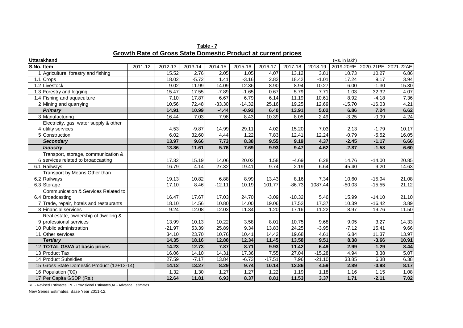|  | Table - 7                                                     |  |  |
|--|---------------------------------------------------------------|--|--|
|  | Growth Rate of Gross State Domestic Product at current prices |  |  |

|            | <b>Uttarakhand</b>                         |         |          |         |          |          |          |          |          | (Rs. in lakh) |                     |           |
|------------|--------------------------------------------|---------|----------|---------|----------|----------|----------|----------|----------|---------------|---------------------|-----------|
| S.No. Item |                                            | 2011-12 | 2012-13  | 2013-14 | 2014-15  | 2015-16  | 2016-17  | 2017-18  | 2018-19  |               | 2019-20RE 2020-21PE | 2021-22AE |
|            | Agriculture, forestry and fishing          |         | 15.52    | 2.76    | 2.05     | 1.05     | 4.07     | 13.12    | 3.81     | 10.73         | 10.27               | 6.86      |
|            | 1.1 Crops                                  |         | 18.02    | $-5.72$ | 1.41     | $-3.16$  | 2.82     | 18.42    | $-1.01$  | 17.24         | 9.17                | 3.94      |
|            | 1.2 Livestock                              |         | 9.02     | 11.99   | 14.09    | 12.36    | 8.90     | 8.94     | 10.27    | 6.00          | $-1.30$             | 15.30     |
|            | 1.3 Forestry and logging                   |         | 15.47    | 17.55   | $-7.89$  | $-1.65$  | 0.67     | 5.79     | 7.71     | 1.03          | 32.32               | 4.07      |
|            | 1.4 Fishing and aquaculture                |         | 7.10     | 17.87   | 6.67     | 6.79     | 6.14     | 11.19    | 10.61    | 8.92          | $-4.18$             | 7.36      |
|            | 2 Mining and quarrying                     |         | 10.56    | 72.48   | $-33.30$ | $-14.32$ | 25.16    | 19.25    | 12.69    | $-15.70$      | $-16.03$            | 4.21      |
|            | <b>Primary</b>                             |         | 14.91    | 10.99   | $-4.44$  | $-0.92$  | 6.40     | 13.91    | 5.02     | 6.86          | 7.24                | 6.62      |
|            | 3 Manufacturing                            |         | 16.44    | 7.03    | 7.98     | 8.43     | 10.39    | 8.05     | 2.49     | $-3.25$       | $-0.09$             | 4.24      |
|            | Electricity, gas, water supply & other     |         |          |         |          |          |          |          |          |               |                     |           |
|            | 4 utility services                         |         | 4.53     | $-9.87$ | 14.99    | 29.11    | 4.02     | 15.20    | 7.03     | 2.13          | $-1.79$             | 10.17     |
|            | 5 Construction                             |         | 6.02     | 32.60   | 4.44     | 1.22     | 7.83     | 12.41    | 12.24    | $-0.79$       | $-5.52$             | 16.05     |
|            | <b>Secondary</b>                           |         | 13.97    | 9.66    | 7.73     | 8.38     | 9.55     | 9.19     | 4.37     | $-2.45$       | $-1.17$             | 6.66      |
|            | <b>Industry</b>                            |         | 13.86    | 11.61   | 5.76     | 7.69     | 9.93     | 9.47     | 4.62     | $-2.87$       | $-1.58$             | 6.60      |
|            | Transport, storage, communication &        |         |          |         |          |          |          |          |          |               |                     |           |
|            | 6 services related to broadcasting         |         | 17.32    | 15.19   | 14.06    | 20.02    | 1.58     | $-4.69$  | 6.28     | 14.76         | $-14.00$            | 20.85     |
|            | 6.1 Railways                               |         | 16.79    | 4.14    | 27.32    | 19.41    | 9.74     | 2.19     | 6.64     | 45.40         | 9.20                | 14.63     |
|            | Transport by Means Other than              |         |          |         |          |          |          |          |          |               |                     |           |
|            | 6.2 Railways                               |         | 19.13    | 10.82   | 6.88     | 8.99     | 13.43    | 8.16     | 7.34     | 10.60         | $-15.94$            | 21.08     |
|            | 6.3 Storage                                |         | 17.10    | 8.46    | $-12.11$ | 10.19    | 101.77   | $-86.73$ | 1087.44  | $-50.03$      | $-15.55$            | 21.12     |
|            | Communication & Services Related to        |         |          |         |          |          |          |          |          |               |                     |           |
|            | 6.4 Broadcasting                           |         | 16.47    | 17.67   | 17.03    | 24.70    | $-3.09$  | $-10.32$ | 5.46     | 15.99         | $-14.10$            | 21.10     |
|            | 7 Trade, repair, hotels and restaurants    |         | 18.10    | 14.56   | 10.80    | 14.00    | 19.06    | 17.52    | 17.37    | 10.39         | $-16.42$            | 3.89      |
|            | 8 Financial services                       |         | 9.24     | 12.08   | 12.03    | 11.34    | 1.20     | 17.16    | 11.22    | 8.97          | 19.76               | 11.50     |
|            | Real estate, ownership of dwelling &       |         |          |         |          |          |          |          |          |               |                     |           |
|            | 9 professional services                    |         | 13.99    | 10.13   | 10.22    | 3.58     | 8.01     | 10.75    | 9.68     | 9.05          | 3.27                | 14.33     |
|            | 10 Public administration                   |         | $-21.97$ | 53.39   | 25.89    | 9.34     | 13.83    | 24.25    | $-3.95$  | $-7.12$       | 15.41               | 9.66      |
|            | 11 Other services                          |         | 34.10    | 23.70   | 10.76    | 10.41    | 14.42    | 19.68    | 4.61     | 6.84          | 11.37               | 13.97     |
|            | <b>Tertiary</b>                            |         | 14.35    | 18.16   | 12.88    | 12.34    | 11.45    | 13.58    | 9.51     | 8.38          | $-3.66$             | 10.91     |
|            | 12 TOTAL GSVA at basic prices              |         | 14.23    | 12.73   | 7.87     | 8.71     | 9.93     | 11.42    | 6.49     | 2.99          | $-1.29$             | 8.44      |
|            | 13 Product Tax                             |         | 16.06    | 14.10   | 14.31    | 17.36    | 7.55     | 27.04    | $-15.28$ | 4.94          | 3.38                | 5.07      |
|            | 14 Product Subsidies                       |         | 27.59    | $-7.17$ | 13.84    | $-6.73$  | $-17.51$ | 7.96     | $-21.10$ | 33.85         | 6.38                | 6.38      |
|            | 15 Gross State Domestic Product (12+13-14) |         | 14.12    | 13.27   | 8.29     | 9.74     | 10.14    | 12.86    | 4.59     | 2.89          | $-0.98$             | 8.17      |
|            | 16 Population ('00)                        |         | 1.32     | 1.30    | 1.27     | 1.27     | 1.22     | 1.19     | 1.18     | 1.16          | 1.15                | 1.08      |
|            | 17 Per Capita GSDP (Rs.)                   |         | 12.64    | 11.81   | 6.93     | 8.37     | 8.81     | 11.53    | 3.37     | 1.71          | $-2.11$             | 7.02      |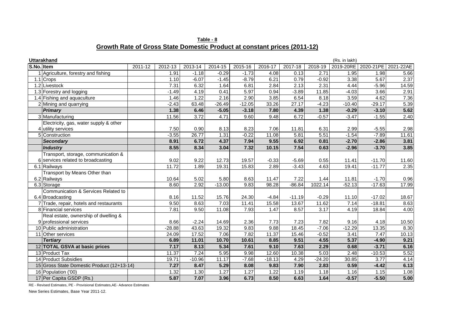**Table - 8 Growth Rate of Gross State Domestic Product at constant prices (2011-12)**

|            | <b>Uttarakhand</b>                         |         |                   |                    |          |          |          |          |          | (Rs. in lakh) |           |           |
|------------|--------------------------------------------|---------|-------------------|--------------------|----------|----------|----------|----------|----------|---------------|-----------|-----------|
| S.No. Item |                                            | 2011-12 | 2012-13           | 2013-14            | 2014-15  | 2015-16  | 2016-17  | 2017-18  | 2018-19  | 2019-20RE     | 2020-21PE | 2021-22AE |
|            | Agriculture, forestry and fishing          |         | 1.91              | $-1.18$            | $-0.29$  | $-1.73$  | 4.08     | 0.13     | 2.71     | 1.95          | 1.98      | 5.66      |
|            | 1.1 Crops                                  |         | 1.10              | $-6.07$            | $-1.45$  | $-8.79$  | 6.21     | 0.79     | $-0.92$  | 3.38          | 5.67      | 2.37      |
|            | 1.2 Livestock                              |         | 7.31              | 6.32               | 1.64     | 6.81     | 2.84     | 2.13     | 2.31     | 4.44          | $-5.96$   | 14.59     |
|            | 1.3 Forestry and logging                   |         | $-1.49$           | 4.19               | 0.41     | 5.97     | 0.94     | $-3.89$  | 11.85    | $-4.03$       | 3.66      | 2.91      |
|            | 1.4 Fishing and aquaculture                |         | 1.46              | 1.22               | 2.16     | 2.90     | 3.85     | 6.54     | 8.18     | 3.59          | 4.62      | 7.36      |
|            | 2 Mining and quarrying                     |         | $-2.43$           | $63.\overline{48}$ | $-26.49$ | $-12.05$ | 33.26    | 27.17    | $-4.23$  | $-10.40$      | $-29.17$  | 5.39      |
|            | Primary                                    |         | 1.38              | 6.46               | $-5.05$  | $-3.18$  | 7.80     | 4.39     | 1.38     | $-0.29$       | $-3.10$   | 5.62      |
|            | 3 Manufacturing                            |         | 11.56             | 3.72               | 4.71     | 9.60     | 9.48     | 6.72     | $-0.57$  | $-3.47$       | $-1.55$   | 2.40      |
|            | Electricity, gas, water supply & other     |         |                   |                    |          |          |          |          |          |               |           |           |
|            | 4 utility services                         |         | 7.50              | 0.90               | 8.13     | 8.23     | 7.06     | 11.81    | 6.31     | 2.99          | $-5.55$   | 2.98      |
|            | 5 Construction                             |         | $-3.55$           | 26.77              | 1.31     | $-0.22$  | 11.08    | 5.81     | 5.51     | $-1.54$       | $-7.89$   | 11.61     |
|            | <b>Secondary</b>                           |         | 8.91              | 6.72               | 4.37     | 7.94     | 9.55     | 6.92     | 0.81     | $-2.70$       | $-2.86$   | 3.81      |
|            | <b>Industry</b>                            |         | 8.55              | 8.34               | 3.04     | 7.32     | 10.15    | 7.54     | 0.63     | $-2.96$       | $-3.70$   | 3.85      |
|            | Transport, storage, communication &        |         |                   |                    |          |          |          |          |          |               |           |           |
|            | 6 services related to broadcasting         |         | 9.02              | 9.22               | 12.73    | 19.57    | $-0.33$  | $-5.69$  | 0.55     | 11.41         | $-11.70$  | 11.60     |
|            | 6.1 Railways                               |         | 11.72             | 1.89               | 19.31    | 15.83    | 2.89     | $-3.43$  | 4.63     | 19.41         | $-11.77$  | 2.35      |
|            | Transport by Means Other than              |         |                   |                    |          |          |          |          |          |               |           |           |
|            | 6.2 Railways                               |         | 10.64             | 5.02               | 5.80     | 8.63     | 11.47    | 7.22     | 1.44     | 11.81         | $-1.70$   | 0.96      |
|            | 6.3 Storage                                |         | 8.60              | 2.92               | $-13.00$ | 9.83     | 98.28    | $-86.84$ | 1022.14  | $-52.13$      | $-17.63$  | 17.99     |
|            | Communication & Services Related to        |         |                   |                    |          |          |          |          |          |               |           |           |
|            | 6.4 Broadcasting                           |         | 8.16              | 11.52              | 15.76    | 24.30    | $-4.84$  | $-11.19$ | $-0.29$  | 11.10         | $-17.02$  | 18.67     |
|            | 7 Trade, repair, hotels and restaurants    |         | 9.50              | 8.63               | 7.03     | 11.41    | 15.58    | 13.67    | 11.62    | 7.14          | $-18.81$  | 8.63      |
|            | 8 Financial services                       |         | $\overline{7.81}$ | 9.50               | 11.08    | 7.93     | 1.47     | 8.57     | 3.17     | 4.19          | 18.84     | 4.00      |
|            | Real estate, ownership of dwelling &       |         |                   |                    |          |          |          |          |          |               |           |           |
|            | 9 professional services                    |         | 8.66              | $-2.24$            | 14.69    | 2.36     | 7.73     | 7.23     | 7.82     | 9.16          | 4.18      | 10.50     |
|            | 10 Public administration                   |         | $-28.88$          | 43.63              | 19.32    | 9.83     | 9.88     | 18.45    | $-7.06$  | $-12.29$      | 13.35     | 8.30      |
|            | 11 Other services                          |         | 24.09             | 17.52              | 7.06     | 7.82     | 11.37    | 15.46    | $-0.52$  | 3.41          | 7.47      | 10.13     |
|            | <b>Tertiary</b>                            |         | 6.89              | 11.01              | 10.70    | 10.61    | 8.85     | 9.51     | 4.55     | 5.37          | $-4.90$   | 9.21      |
|            | 12 TOTAL GSVA at basic prices              |         | 7.17              | 8.13               | 5.34     | 7.61     | 9.10     | 7.63     | 2.29     | 0.68          | $-3.71$   | 6.16      |
|            | 13 Product Tax                             |         | 11.37             | 7.24               | 5.95     | 9.98     | 12.60    | 10.38    | 5.03     | 2.48          | $-10.53$  | 5.52      |
|            | 14 Product Subsidies                       |         | 19.71             | $-10.96$           | 11.17    | $-7.68$  | $-18.13$ | 4.29     | $-24.20$ | 30.85         | 3.77      | 4.14      |
|            | 15 Gross State Domestic Product (12+13-14) |         | 7.27              | 8.47               | 5.29     | 8.08     | 9.83     | 7.90     | 2.83     | 0.59          | $-4.42$   | 6.13      |
|            | 16 Population ('00)                        |         | 1.32              | 1.30               | 1.27     | 1.27     | 1.22     | 1.19     | 1.18     | 1.16          | 1.15      | 1.08      |
|            | 17 Per Capita GSDP (Rs.)                   |         | 5.87              | 7.07               | 3.96     | 6.73     | 8.50     | 6.63     | 1.64     | $-0.57$       | $-5.50$   | 5.00      |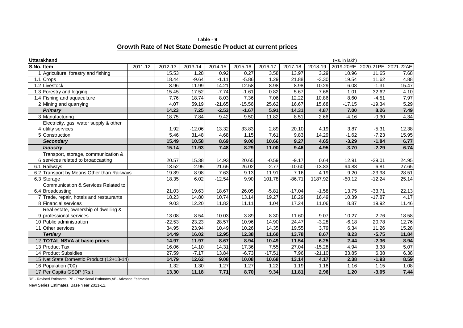**Table - 9 Growth Rate of Net State Domestic Product at current prices**

|            | <b>Uttarakhand</b>                         |         |          |          |          |          |          |          |          | (Rs. in lakh) |                               |       |
|------------|--------------------------------------------|---------|----------|----------|----------|----------|----------|----------|----------|---------------|-------------------------------|-------|
| S.No. Item |                                            | 2011-12 | 2012-13  | 2013-14  | 2014-15  | 2015-16  | 2016-17  | 2017-18  | 2018-19  |               | 2019-20RE 2020-21PE 2021-22AE |       |
|            | Agriculture, forestry and fishing          |         | 15.53    | 1.28     | 0.92     | 0.27     | 3.58     | 13.97    | 3.29     | 10.96         | 11.65                         | 7.68  |
|            | $1.1$ Crops                                |         | 18.44    | $-9.64$  | $-1.11$  | $-5.86$  | 1.29     | 21.88    | $-3.30$  | 19.54         | 11.62                         | 4.88  |
|            | 1.2 Livestock                              |         | 8.96     | 11.99    | 14.21    | 12.58    | 8.98     | 8.98     | 10.29    | 6.08          | $-1.31$                       | 15.47 |
|            | 1.3 Forestry and logging                   |         | 15.45    | 17.52    | $-7.74$  | $-1.61$  | 0.82     | 5.67     | 7.68     | 1.01          | 32.62                         | 4.10  |
|            | 1.4 Fishing and aquaculture                |         | 7.76     | 18.74    | 8.03     | 7.36     | 7.06     | 12.22    | 10.86    | 8.60          | $-4.51$                       | 7.97  |
|            | 2 Mining and quarrying                     |         | 4.07     | 59.19    | $-21.65$ | $-15.56$ | 25.62    | 16.67    | 15.68    | $-17.15$      | $-19.34$                      | 5.29  |
|            | <b>Primary</b>                             |         | 14.23    | 7.25     | $-2.53$  | $-1.67$  | 5.91     | 14.31    | 4.87     | 7.00          | 8.26                          | 7.49  |
|            | 3 Manufacturing                            |         | 18.75    | 7.84     | 9.42     | 9.50     | 11.82    | 8.51     | 2.66     | $-4.16$       | $-0.30$                       | 4.34  |
|            | Electricity, gas, water supply & other     |         |          |          |          |          |          |          |          |               |                               |       |
|            | 4 utility services                         |         | 1.92     | $-12.06$ | 13.32    | 33.83    | 2.89     | 20.10    | 4.19     | 3.87          | $-5.31$                       | 12.38 |
|            | 5 Construction                             |         | 5.46     | 31.48    | 4.68     | 1.15     | 7.61     | 9.83     | 14.29    | $-1.62$       | $-7.23$                       | 15.95 |
|            | <b>Secondary</b>                           |         | 15.49    | 10.58    | 8.69     | 9.00     | 10.66    | 9.27     | 4.65     | $-3.29$       | $-1.84$                       | 6.77  |
|            | Industry                                   |         | 15.14    | 11.93    | 7.48     | 8.29     | 11.00    | 9.46     | 4.95     | $-3.70$       | $-2.29$                       | 6.74  |
|            | Transport, storage, communication &        |         |          |          |          |          |          |          |          |               |                               |       |
|            | 6 services related to broadcasting         |         | 20.57    | 15.38    | 14.93    | 20.65    | $-0.59$  | $-9.17$  | 0.64     | 12.91         | $-29.01$                      | 24.95 |
|            | 6.1 Railways                               |         | 18.52    | $-2.95$  | 21.65    | 26.02    | $-2.77$  | $-10.60$ | $-13.83$ | 94.88         | 6.81                          | 27.65 |
|            | 6.2 Transport by Means Other than Railways |         | 19.89    | 8.98     | 7.63     | 9.13     | 11.91    | 7.16     | 4.19     | 9.20          | $-23.98$                      | 28.51 |
|            | 6.3 Storage                                |         | 18.35    | 6.02     | $-12.54$ | 9.90     | 101.78   | $-86.71$ | 1187.92  | $-50.12$      | $-12.24$                      | 25.14 |
|            | Communication & Services Related to        |         |          |          |          |          |          |          |          |               |                               |       |
|            | 6.4 Broadcasting                           |         | 21.03    | 19.63    | 18.67    | 26.05    | $-5.81$  | $-17.04$ | $-1.58$  | 13.75         | $-33.71$                      | 22.13 |
|            | 7 Trade, repair, hotels and restaurants    |         | 18.23    | 14.80    | 10.74    | 13.14    | 19.27    | 18.29    | 16.49    | 10.39         | $-17.87$                      | 4.17  |
|            | 8 Financial services                       |         | 9.03     | 12.20    | 11.82    | 11.11    | 1.04     | 17.24    | 11.06    | 8.87          | 19.92                         | 11.46 |
|            | Real estate, ownership of dwelling &       |         |          |          |          |          |          |          |          |               |                               |       |
|            | 9 professional services                    |         | 13.08    | 8.54     | 10.03    | 3.89     | 8.30     | 11.60    | 9.07     | 10.27         | 2.76                          | 18.58 |
|            | 10 Public administration                   |         | $-22.53$ | 23.23    | 28.57    | 10.96    | 14.90    | 24.47    | $-3.28$  | $-6.18$       | 20.78                         | 12.76 |
|            | 11 Other services                          |         | 34.95    | 23.94    | 10.49    | 10.26    | 14.35    | 19.55    | 3.79     | 6.34          | 11.26                         | 15.28 |
|            | <b>Tertiary</b>                            |         | 14.49    | 16.02    | 12.95    | 12.38    | 11.60    | 13.78    | 8.67     | 8.23          | $-5.75$                       | 11.84 |
|            | 12 TOTAL NSVA at basic prices              |         | 14.97    | 11.97    | 8.67     | 8.94     | 10.49    | 11.54    | 6.25     | 2.44          | $-2.36$                       | 8.94  |
|            | 13 Product Tax                             |         | 16.06    | 14.10    | 14.31    | 17.36    | 7.55     | 27.04    | $-15.28$ | 4.94          | 3.38                          | 5.07  |
|            | 14 Product Subsidies                       |         | 27.59    | $-7.17$  | 13.84    | $-6.73$  | $-17.51$ | 7.96     | $-21.10$ | 33.85         | 6.38                          | 6.38  |
|            | 15 Net State Domestic Product (12+13-14)   |         | 14.79    | 12.62    | 9.08     | 10.08    | 10.68    | 13.14    | 4.17     | 2.38          | $-1.93$                       | 8.59  |
|            | 16 Population ('00)                        |         | 1.32     | 1.30     | 1.27     | 1.27     | 1.22     | 1.19     | 1.18     | 1.16          | 1.15                          | 1.08  |
|            | 17 Per Capita GSDP (Rs.)                   |         | 13.30    | 11.18    | 7.71     | 8.70     | 9.34     | 11.81    | 2.96     | 1.20          | $-3.05$                       | 7.44  |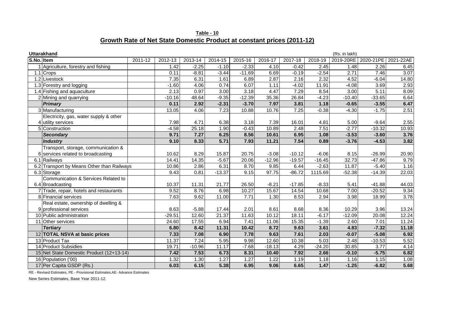**Table - 10 Growth Rate of Net State Domestic Product at constant prices (2011-12)**

| <b>Uttarakhand</b><br>(Rs. in lakh) |                                            |         |          |          |          |          |          |          |          |          |                       |           |
|-------------------------------------|--------------------------------------------|---------|----------|----------|----------|----------|----------|----------|----------|----------|-----------------------|-----------|
|                                     | S.No. Item                                 | 2011-12 | 2012-13  | 2013-14  | 2014-15  | 2015-16  | 2016-17  | 2017-18  | 2018-19  |          | 2019-20RE   2020-21PE | 2021-22AE |
|                                     | Agriculture, forestry and fishing          |         | 1.42     | $-2.25$  | $-1.10$  | $-2.33$  | 4.10     | $-0.42$  | 2.45     | 1.48     | 2.26                  | 6.45      |
|                                     | 1.1 Crops                                  |         | 0.11     | $-8.81$  | $-3.44$  | $-11.69$ | 6.69     | $-0.19$  | $-2.54$  | 2.71     | 7.46                  | 3.07      |
|                                     | 1.2 Livestock                              |         | 7.35     | 6.31     | 1.61     | 6.89     | 2.87     | 2.16     | 2.32     | 4.52     | $-6.04$               | 14.80     |
|                                     | 1.3 Forestry and logging                   |         | $-1.60$  | 4.06     | 0.74     | 6.07     | 1.11     | $-4.02$  | 11.91    | $-4.08$  | 3.69                  | 2.93      |
|                                     | 1.4 Fishing and aquaculture                |         | 2.13     | 0.97     | 3.00     | 3.18     | 4.47     | 7.29     | 8.54     | 3.00     | 5.11                  | 8.09      |
|                                     | 2 Mining and quarrying                     |         | $-10.16$ | 48.64    | $-9.35$  | $-12.39$ | 35.36    | 26.84    | $-4.23$  | $-10.40$ | $-33.65$              | 6.64      |
|                                     | <b>Primary</b>                             |         | 0.11     | 2.92     | $-2.31$  | $-3.70$  | 7.97     | 3.81     | 1.18     | $-0.65$  | $-3.55$               | 6.47      |
|                                     | 3 Manufacturing                            |         | 13.05    | 4.06     | 7.23     | 10.88    | 10.76    | 7.25     | $-0.38$  | $-4.30$  | $-1.75$               | 2.51      |
|                                     | Electricity, gas, water supply & other     |         |          |          |          |          |          |          |          |          |                       |           |
|                                     | 4 utility services                         |         | 7.98     | 4.71     | 6.38     | 3.18     | 7.39     | 16.01    | 4.81     | 5.00     | $-9.64$               | 2.55      |
|                                     | 5 Construction                             |         | $-4.58$  | 25.18    | 1.90     | $-0.43$  | 10.89    | 2.48     | 7.51     | $-2.77$  | $-10.32$              | 10.93     |
|                                     | <b>Secondary</b>                           |         | 9.71     | 7.27     | 6.25     | 8.56     | 10.61    | 6.95     | 1.08     | $-3.53$  | $-3.60$               | 3.76      |
|                                     | <b>Industry</b>                            |         | 9.10     | 8.33     | 5.71     | 7.93     | 11.21    | 7.54     | 0.89     | $-3.76$  | $-4.53$               | 3.82      |
|                                     | Transport, storage, communication &        |         |          |          |          |          |          |          |          |          |                       |           |
|                                     | 6 services related to broadcasting         |         | 10.62    | 8.29     | 15.87    | 20.75    | $-3.08$  | $-10.12$ | $-6.06$  | 8.15     | $-26.99$              | 20.90     |
|                                     | 6.1 Railways                               |         | 14.41    | 14.35    | $-5.67$  | 20.06    | $-12.96$ | $-19.57$ | $-16.45$ | 32.73    | $-47.86$              | 9.79      |
|                                     | 6.2 Transport by Means Other than Railways |         | 10.86    | 2.86     | 6.31     | 8.70     | 9.85     | 6.44     | $-2.63$  | 11.87    | $-5.40$               | 1.16      |
|                                     | 6.3 Storage                                |         | 9.43     | 0.81     | $-13.37$ | 9.15     | 97.75    | $-86.72$ | 1115.69  | $-52.38$ | $-14.39$              | 22.03     |
|                                     | Communication & Services Related to        |         |          |          |          |          |          |          |          |          |                       |           |
|                                     | 6.4 Broadcasting                           |         | 10.37    | 11.31    | 21.77    | 26.50    | $-8.21$  | $-17.85$ | $-8.33$  | 5.41     | $-41.88$              | 44.03     |
|                                     | 7 Trade, repair, hotels and restaurants    |         | 9.52     | 8.76     | 6.98     | 10.27    | 15.67    | 14.54    | 10.68    | 7.00     | $-20.52$              | 9.34      |
|                                     | 8 Financial services                       |         | 7.63     | 9.62     | 11.00    | 7.71     | 1.30     | 8.53     | 2.94     | 3.98     | 18.99                 | 3.78      |
|                                     | Real estate, ownership of dwelling &       |         |          |          |          |          |          |          |          |          |                       |           |
|                                     | 9 professional services                    |         | 8.63     | $-5.88$  | 17.44    | 2.01     | 8.61     | 8.68     | 8.36     | 10.29    | 3.96                  | 13.24     |
|                                     | 10 Public administration                   |         | $-29.51$ | 12.60    | 21.37    | 11.63    | 10.12    | 18.11    | $-6.17$  | $-12.09$ | 20.08                 | 12.24     |
|                                     | 11 Other services                          |         | 24.60    | 17.55    | 6.94     | 7.41     | 11.06    | 15.35    | $-1.39$  | 2.60     | 7.01                  | 11.24     |
|                                     | <b>Tertiary</b>                            |         | 6.80     | 8.42     | 11.31    | 10.42    | 8.72     | 9.63     | 3.61     | 4.83     | $-7.32$               | 11.18     |
|                                     | 12 TOTAL NSVA at basic prices              |         | 7.33     | 7.08     | 6.90     | 7.78     | 9.63     | 7.61     | 2.03     | $-0.07$  | $-5.08$               | 6.92      |
|                                     | 13 Product Tax                             |         | 11.37    | 7.24     | 5.95     | 9.98     | 12.60    | 10.38    | 5.03     | 2.48     | $-10.53$              | 5.52      |
|                                     | 14 Product Subsidies                       |         | 19.71    | $-10.96$ | 11.17    | $-7.68$  | $-18.13$ | 4.29     | $-24.20$ | 30.85    | 3.77                  | 4.14      |
|                                     | 15 Net State Domestic Product (12+13-14)   |         | 7.42     | 7.53     | 6.73     | 8.31     | 10.40    | 7.92     | 2.66     | $-0.10$  | $-5.75$               | 6.82      |
|                                     | 16 Population ('00)                        |         | 1.32     | 1.30     | 1.27     | 1.27     | 1.22     | 1.19     | 1.18     | 1.16     | 1.15                  | 1.08      |
|                                     | 17 Per Capita GSDP (Rs.)                   |         | 6.03     | 6.15     | 5.38     | 6.95     | 9.06     | 6.65     | 1.47     | $-1.25$  | $-6.82$               | 5.68      |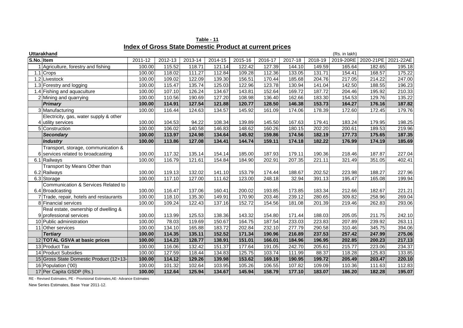| <b>Uttarakhand</b><br>(Rs. in lakh) |                                         |         |         |         |         |         |         |         |         |           |           |           |
|-------------------------------------|-----------------------------------------|---------|---------|---------|---------|---------|---------|---------|---------|-----------|-----------|-----------|
| S.No. Item                          |                                         | 2011-12 | 2012-13 | 2013-14 | 2014-15 | 2015-16 | 2016-17 | 2017-18 | 2018-19 | 2019-20RE | 2020-21PE | 2021-22AE |
|                                     | Agriculture, forestry and fishing       | 100.00  | 115.52  | 118.71  | 121.14  | 122.42  | 127.39  | 144.10  | 149.59  | 165.64    | 182.65    | 195.18    |
|                                     | 1.1 Crops                               | 100.00  | 118.02  | 111.27  | 112.84  | 109.28  | 112.36  | 133.05  | 131.71  | 154.41    | 168.57    | 175.22    |
|                                     | 1.2 Livestock                           | 100.00  | 109.02  | 122.09  | 139.30  | 156.51  | 170.44  | 185.68  | 204.76  | 217.05    | 214.22    | 247.00    |
|                                     | 1.3 Forestry and logging                | 100.00  | 115.47  | 135.74  | 125.03  | 122.96  | 123.78  | 130.94  | 141.04  | 142.50    | 188.55    | 196.23    |
|                                     | 1.4 Fishing and aquaculture             | 100.00  | 107.10  | 126.24  | 134.67  | 143.81  | 152.64  | 169.72  | 187.72  | 204.46    | 195.92    | 210.33    |
|                                     | 2 Mining and quarrying                  | 100.00  | 110.56  | 190.69  | 127.20  | 108.98  | 136.40  | 162.66  | 183.30  | 154.53    | 129.76    | 135.22    |
|                                     | <b>Primary</b>                          | 100.00  | 114.91  | 127.54  | 121.88  | 120.77  | 128.50  | 146.38  | 153.73  | 164.27    | 176.16    | 187.82    |
|                                     | 3 Manufacturing                         | 100.00  | 116.44  | 124.63  | 134.57  | 145.92  | 161.09  | 174.06  | 178.39  | 172.60    | 172.45    | 179.76    |
|                                     | Electricity, gas, water supply & other  |         |         |         |         |         |         |         |         |           |           |           |
|                                     | 4 utility services                      | 100.00  | 104.53  | 94.22   | 108.34  | 139.89  | 145.50  | 167.63  | 179.41  | 183.24    | 179.95    | 198.25    |
|                                     | 5 Construction                          | 100.00  | 106.02  | 140.58  | 146.83  | 148.62  | 160.26  | 180.15  | 202.20  | 200.61    | 189.53    | 219.96    |
|                                     | <b>Secondary</b>                        | 100.00  | 113.97  | 124.98  | 134.64  | 145.92  | 159.86  | 174.56  | 182.19  | 177.73    | 175.65    | 187.35    |
|                                     | <b>Industry</b>                         | 100.00  | 113.86  | 127.08  | 134.41  | 144.74  | 159.11  | 174.18  | 182.22  | 176.99    | 174.19    | 185.69    |
|                                     | Transport, storage, communication &     |         |         |         |         |         |         |         |         |           |           |           |
|                                     | 6 services related to broadcasting      | 100.00  | 117.32  | 135.14  | 154.14  | 185.00  | 187.93  | 179.11  | 190.36  | 218.46    | 187.87    | 227.04    |
|                                     | 6.1 Railways                            | 100.00  | 116.79  | 121.61  | 154.84  | 184.90  | 202.91  | 207.35  | 221.11  | 321.49    | 351.05    | 402.41    |
|                                     | Transport by Means Other than           |         |         |         |         |         |         |         |         |           |           |           |
|                                     | 6.2 Railways                            | 100.00  | 119.13  | 132.02  | 141.10  | 153.79  | 174.44  | 188.67  | 202.52  | 223.98    | 188.27    | 227.96    |
|                                     | 6.3 Storage                             | 100.00  | 117.10  | 127.00  | 111.62  | 123.00  | 248.18  | 32.94   | 391.13  | 195.47    | 165.08    | 199.94    |
|                                     | Communication & Services Related to     |         |         |         |         |         |         |         |         |           |           |           |
|                                     | 6.4 Broadcasting                        | 100.00  | 116.47  | 137.06  | 160.41  | 200.02  | 193.85  | 173.85  | 183.34  | 212.66    | 182.67    | 221.21    |
|                                     | 7 Trade, repair, hotels and restaurants | 100.00  | 118.10  | 135.30  | 149.91  | 170.90  | 203.46  | 239.12  | 280.65  | 309.82    | 258.96    | 269.04    |
|                                     | 8 Financial services                    | 100.00  | 109.24  | 122.43  | 137.16  | 152.72  | 154.56  | 181.08  | 201.39  | 219.46    | 262.83    | 293.06    |
|                                     | Real estate, ownership of dwelling &    |         |         |         |         |         |         |         |         |           |           |           |
|                                     | 9 professional services                 | 100.00  | 113.99  | 125.53  | 138.36  | 143.32  | 154.80  | 171.44  | 188.03  | 205.05    | 211.75    | 242.10    |
|                                     | 10 Public administration                | 100.00  | 78.03   | 119.69  | 150.67  | 164.75  | 187.54  | 233.03  | 223.83  | 207.89    | 239.92    | 263.11    |
|                                     | 11 Other services                       | 100.00  | 134.10  | 165.88  | 183.72  | 202.84  | 232.10  | 277.79  | 290.58  | 310.46    | 345.75    | 394.06    |
|                                     | <b>Tertiary</b>                         | 100.00  | 114.35  | 135.11  | 152.52  | 171.34  | 190.96  | 216.89  | 237.53  | 257.42    | 247.99    | 275.06    |
|                                     | 12 TOTAL GSVA at basic prices           | 100.00  | 114.23  | 128.77  | 138.91  | 151.01  | 166.01  | 184.96  | 196.95  | 202.85    | 200.23    | 217.13    |
|                                     | 13 Product Tax                          | 100.00  | 116.06  | 132.42  | 151.37  | 177.64  | 191.05  | 242.70  | 205.61  | 215.77    | 223.06    | 234.37    |
|                                     | 14 Product Subsidies                    | 100.00  | 127.59  | 118.44  | 134.83  | 125.75  | 103.74  | 111.99  | 88.37   | 118.28    | 125.83    | 133.85    |
|                                     | 15 Gross State Domestic Product (12+13- | 100.00  | 114.12  | 129.26  | 139.98  | 153.62  | 169.19  | 190.95  | 199.72  | 205.49    | 203.47    | 220.10    |
|                                     | 16 Population ('00)                     | 100.00  | 101.32  | 102.64  | 103.95  | 105.26  | 106.55  | 107.82  | 109.09  | 110.36    | 111.63    | 112.83    |
|                                     | 17 Per Capita GSDP (Rs.)                | 100.00  | 112.64  | 125.94  | 134.67  | 145.94  | 158.79  | 177.10  | 183.07  | 186.20    | 182.28    | 195.07    |

**Table - 11 Index of Gross State Domestic Product at current prices**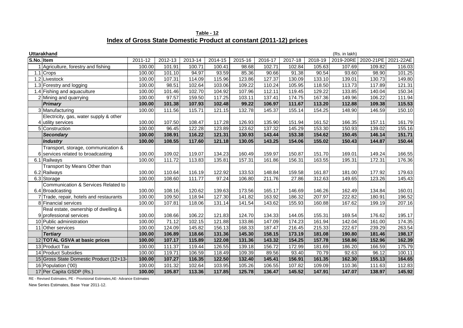| Table - 12                                                         |  |
|--------------------------------------------------------------------|--|
| Index of Gross State Domestic Product at constant (2011-12) prices |  |

| <b>Uttarakhand</b><br>(Rs. in lakh) |                                         |         |         |         |         |         |         |         |         |           |                     |        |
|-------------------------------------|-----------------------------------------|---------|---------|---------|---------|---------|---------|---------|---------|-----------|---------------------|--------|
| S.No. Item                          |                                         | 2011-12 | 2012-13 | 2013-14 | 2014-15 | 2015-16 | 2016-17 | 2017-18 | 2018-19 | 2019-20RE | 2020-21PE 2021-22AE |        |
|                                     | Agriculture, forestry and fishing       | 100.00  | 101.91  | 100.71  | 100.41  | 98.68   | 102.71  | 102.84  | 105.63  | 107.69    | 109.82              | 116.03 |
|                                     | 1.1 Crops                               | 100.00  | 101.10  | 94.97   | 93.59   | 85.36   | 90.66   | 91.38   | 90.54   | 93.60     | 98.90               | 101.25 |
|                                     | 1.2 Livestock                           | 100.00  | 107.31  | 114.09  | 115.96  | 123.86  | 127.37  | 130.09  | 133.10  | 139.01    | 130.73              | 149.80 |
|                                     | 1.3 Forestry and logging                | 100.00  | 98.51   | 102.64  | 103.06  | 109.22  | 110.24  | 105.95  | 118.50  | 113.73    | 117.89              | 121.31 |
|                                     | 1.4 Fishing and aquaculture             | 100.00  | 101.46  | 102.70  | 104.92  | 107.96  | 112.11  | 119.45  | 129.22  | 133.85    | 140.04              | 150.34 |
|                                     | 2 Mining and quarrying                  | 100.00  | 97.57   | 159.50  | 117.25  | 103.11  | 137.41  | 174.75  | 167.36  | 149.96    | 106.22              | 111.94 |
|                                     | <b>Primary</b>                          | 100.00  | 101.38  | 107.93  | 102.48  | 99.22   | 106.97  | 111.67  | 113.20  | 112.88    | 109.38              | 115.53 |
|                                     | 3 Manufacturing                         | 100.00  | 111.56  | 115.71  | 121.15  | 132.78  | 145.37  | 155.14  | 154.25  | 148.90    | 146.59              | 150.10 |
|                                     | Electricity, gas, water supply & other  |         |         |         |         |         |         |         |         |           |                     |        |
|                                     | 4 utility services                      | 100.00  | 107.50  | 108.47  | 117.28  | 126.93  | 135.90  | 151.94  | 161.52  | 166.35    | 157.11              | 161.79 |
|                                     | 5 Construction                          | 100.00  | 96.45   | 122.28  | 123.89  | 123.62  | 137.32  | 145.29  | 153.30  | 150.93    | 139.02              | 155.16 |
|                                     | <b>Secondary</b>                        | 100.00  | 108.91  | 116.22  | 121.31  | 130.93  | 143.44  | 153.38  | 154.62  | 150.45    | 146.14              | 151.71 |
|                                     | <b>Industry</b>                         | 100.00  | 108.55  | 117.60  | 121.18  | 130.05  | 143.25  | 154.06  | 155.02  | 150.43    | 144.87              | 150.44 |
|                                     | Transport, storage, communication &     |         |         |         |         |         |         |         |         |           |                     |        |
|                                     | 6 services related to broadcasting      | 100.00  | 109.02  | 119.07  | 134.23  | 160.49  | 159.97  | 150.87  | 151.70  | 169.01    | 149.24              | 166.55 |
|                                     | 6.1 Railways                            | 100.00  | 111.72  | 113.83  | 135.81  | 157.31  | 161.86  | 156.31  | 163.55  | 195.31    | 172.31              | 176.36 |
|                                     | Transport by Means Other than           |         |         |         |         |         |         |         |         |           |                     |        |
|                                     | 6.2 Railways                            | 100.00  | 110.64  | 116.19  | 122.92  | 133.53  | 148.84  | 159.58  | 161.87  | 181.00    | 177.92              | 179.63 |
|                                     | 6.3 Storage                             | 100.00  | 108.60  | 111.77  | 97.24   | 106.80  | 211.76  | 27.86   | 312.63  | 149.65    | 123.26              | 145.43 |
|                                     | Communication & Services Related to     |         |         |         |         |         |         |         |         |           |                     |        |
|                                     | 6.4 Broadcasting                        | 100.00  | 108.16  | 120.62  | 139.63  | 173.56  | 165.17  | 146.69  | 146.26  | 162.49    | 134.84              | 160.01 |
|                                     | 7 Trade, repair, hotels and restaurants | 100.00  | 109.50  | 118.94  | 127.30  | 141.82  | 163.92  | 186.32  | 207.97  | 222.82    | 180.91              | 196.52 |
|                                     | 8 Financial services                    | 100.00  | 107.81  | 118.06  | 131.14  | 141.54  | 143.62  | 155.93  | 160.88  | 167.62    | 199.19              | 207.16 |
|                                     | Real estate, ownership of dwelling &    |         |         |         |         |         |         |         |         |           |                     |        |
|                                     | 9 professional services                 | 100.00  | 108.66  | 106.22  | 121.83  | 124.70  | 134.33  | 144.05  | 155.31  | 169.54    | 176.62              | 195.17 |
|                                     | 10 Public administration                | 100.00  | 71.12   | 102.15  | 121.88  | 133.86  | 147.09  | 174.23  | 161.94  | 142.04    | 161.00              | 174.35 |
|                                     | 11 Other services                       | 100.00  | 124.09  | 145.82  | 156.13  | 168.33  | 187.47  | 216.45  | 215.33  | 222.67    | 239.29              | 263.54 |
|                                     | <b>Tertiary</b>                         | 100.00  | 106.89  | 118.66  | 131.36  | 145.30  | 158.15  | 173.19  | 181.08  | 190.80    | 181.46              | 198.17 |
|                                     | 12 TOTAL GSVA at basic prices           | 100.00  | 107.17  | 115.89  | 122.08  | 131.36  | 143.32  | 154.25  | 157.78  | 158.86    | 152.96              | 162.39 |
|                                     | 13 Product Tax                          | 100.00  | 111.37  | 119.44  | 126.55  | 139.18  | 156.72  | 172.99  | 181.69  | 186.20    | 166.59              | 175.79 |
|                                     | 14 Product Subsidies                    | 100.00  | 119.71  | 106.59  | 118.49  | 109.39  | 89.56   | 93.40   | 70.79   | 92.63     | 96.12               | 100.11 |
|                                     | 15 Gross State Domestic Product (12+13- | 100.00  | 107.27  | 116.35  | 122.50  | 132.40  | 145.41  | 156.91  | 161.35  | 162.30    | 155.13              | 164.65 |
|                                     | 16 Population ('00)                     | 100.00  | 101.32  | 102.64  | 103.95  | 105.26  | 106.55  | 107.82  | 109.09  | 110.36    | 111.63              | 112.83 |
|                                     | 17 Per Capita GSDP (Rs.)                | 100.00  | 105.87  | 113.36  | 117.85  | 125.78  | 136.47  | 145.52  | 147.91  | 147.07    | 138.97              | 145.92 |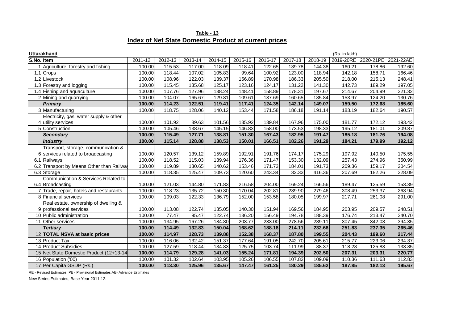| Table - 13                                            |  |
|-------------------------------------------------------|--|
| Index of Net State Domestic Product at current prices |  |

|            | <b>Uttarakhand</b><br>(Rs. in lakh)       |         |         |         |         |         |         |         |         |           |           |           |
|------------|-------------------------------------------|---------|---------|---------|---------|---------|---------|---------|---------|-----------|-----------|-----------|
| S.No. Item |                                           | 2011-12 | 2012-13 | 2013-14 | 2014-15 | 2015-16 | 2016-17 | 2017-18 | 2018-19 | 2019-20RE | 2020-21PE | 2021-22AE |
|            | Agriculture, forestry and fishing         | 100.00  | 115.53  | 117.00  | 118.09  | 118.41  | 122.65  | 139.78  | 144.38  | 160.21    | 178.86    | 192.60    |
|            | 1.1 Crops                                 | 100.00  | 118.44  | 107.02  | 105.83  | 99.64   | 100.92  | 123.00  | 118.94  | 142.18    | 158.71    | 166.46    |
|            | 1.2 Livestock                             | 100.00  | 108.96  | 122.03  | 139.37  | 156.89  | 170.98  | 186.33  | 205.50  | 218.00    | 215.13    | 248.41    |
|            | 1.3 Forestry and logging                  | 100.00  | 115.45  | 135.68  | 125.17  | 123.16  | 124.17  | 131.22  | 141.30  | 142.73    | 189.29    | 197.05    |
|            | 1.4 Fishing and aquaculture               | 100.00  | 107.76  | 127.96  | 138.24  | 148.41  | 158.89  | 178.31  | 197.67  | 214.67    | 204.99    | 221.32    |
|            | 2 Mining and guarrying                    | 100.00  | 104.07  | 165.67  | 129.81  | 109.61  | 137.69  | 160.65  | 185.84  | 153.97    | 124.20    | 130.76    |
|            | <b>Primary</b>                            | 100.00  | 114.23  | 122.51  | 119.41  | 117.41  | 124.35  | 142.14  | 149.07  | 159.50    | 172.68    | 185.60    |
|            | 3 Manufacturing                           | 100.00  | 118.75  | 128.06  | 140.12  | 153.44  | 171.58  | 186.18  | 191.14  | 183.19    | 182.64    | 190.57    |
|            | Electricity, gas, water supply & other    |         |         |         |         |         |         |         |         |           |           |           |
|            | 4 utility services                        | 100.00  | 101.92  | 89.63   | 101.56  | 135.92  | 139.84  | 167.96  | 175.00  | 181.77    | 172.12    | 193.42    |
|            | 5 Construction                            | 100.00  | 105.46  | 138.67  | 145.15  | 146.83  | 158.00  | 173.53  | 198.33  | 195.12    | 181.01    | 209.87    |
|            | <b>Secondary</b>                          | 100.00  | 115.49  | 127.71  | 138.81  | 151.30  | 167.43  | 182.95  | 191.47  | 185.18    | 181.76    | 194.08    |
|            | <b>Industry</b>                           | 100.00  | 115.14  | 128.88  | 138.53  | 150.01  | 166.51  | 182.26  | 191.29  | 184.21    | 179.99    | 192.12    |
|            | Transport, storage, communication &       |         |         |         |         |         |         |         |         |           |           |           |
|            | 6 services related to broadcasting        | 100.00  | 120.57  | 139.12  | 159.89  | 192.91  | 191.76  | 174.17  | 175.29  | 197.92    | 140.50    | 175.55    |
|            | 6.1 Railways                              | 100.00  | 118.52  | 115.03  | 139.94  | 176.36  | 171.47  | 153.30  | 132.09  | 257.43    | 274.96    | 350.99    |
|            | 6.2 Transport by Means Other than Railway | 100.00  | 119.89  | 130.65  | 140.62  | 153.46  | 171.73  | 184.01  | 191.73  | 209.36    | 159.17    | 204.54    |
|            | 6.3 Storage                               | 100.00  | 118.35  | 125.47  | 109.73  | 120.60  | 243.34  | 32.33   | 416.36  | 207.69    | 182.26    | 228.09    |
|            | Communication & Services Related to       |         |         |         |         |         |         |         |         |           |           |           |
|            | 6.4 Broadcasting                          | 100.00  | 121.03  | 144.80  | 171.83  | 216.58  | 204.00  | 169.24  | 166.56  | 189.47    | 125.59    | 153.39    |
|            | 7 Trade, repair, hotels and restaurants   | 100.00  | 118.23  | 135.72  | 150.30  | 170.04  | 202.81  | 239.90  | 279.46  | 308.49    | 253.37    | 263.94    |
|            | 8 Financial services                      | 100.00  | 109.03  | 122.33  | 136.79  | 152.00  | 153.58  | 180.05  | 199.97  | 217.71    | 261.08    | 291.00    |
|            | Real estate, ownership of dwelling &      |         |         |         |         |         |         |         |         |           |           |           |
|            | 9 professional services                   | 100.00  | 113.08  | 122.74  | 135.05  | 140.30  | 151.94  | 169.56  | 184.95  | 203.95    | 209.57    | 248.51    |
|            | 10 Public administration                  | 100.00  | 77.47   | 95.47   | 122.74  | 136.20  | 156.49  | 194.78  | 188.39  | 176.74    | 213.47    | 240.70    |
|            | 11 Other services                         | 100.00  | 134.95  | 167.26  | 184.80  | 203.77  | 233.00  | 278.56  | 289.11  | 307.45    | 342.08    | 394.35    |
|            | <b>Tertiary</b>                           | 100.00  | 114.49  | 132.83  | 150.04  | 168.62  | 188.18  | 214.11  | 232.68  | 251.83    | 237.35    | 265.46    |
|            | 12 TOTAL NSVA at basic prices             | 100.00  | 114.97  | 128.73  | 139.88  | 152.38  | 168.37  | 187.80  | 199.55  | 204.43    | 199.60    | 217.44    |
|            | 13 Product Tax                            | 100.00  | 116.06  | 132.42  | 151.37  | 177.64  | 191.05  | 242.70  | 205.61  | 215.77    | 223.06    | 234.37    |
|            | 14 Product Subsidies                      | 100.00  | 127.59  | 118.44  | 134.83  | 125.75  | 103.74  | 111.99  | 88.37   | 118.28    | 125.83    | 133.85    |
|            | 15 Net State Domestic Product (12+13-14   | 100.00  | 114.79  | 129.28  | 141.03  | 155.24  | 171.81  | 194.39  | 202.50  | 207.31    | 203.31    | 220.77    |
|            | 16 Population ('00)                       | 100.00  | 101.32  | 102.64  | 103.95  | 105.26  | 106.55  | 107.82  | 109.09  | 110.36    | 111.63    | 112.83    |
|            | 17 Per Capita GSDP (Rs.)                  | 100.00  | 113.30  | 125.96  | 135.67  | 147.47  | 161.25  | 180.29  | 185.62  | 187.85    | 182.13    | 195.67    |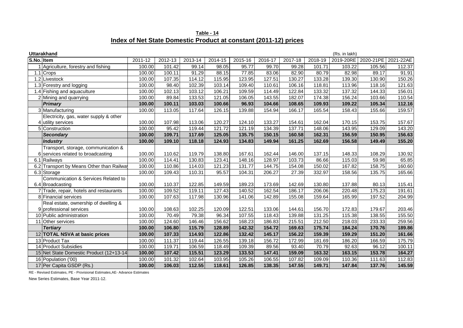|                                                                  | Table - 14 |  |
|------------------------------------------------------------------|------------|--|
| Index of Net State Domestic Product at constant (2011-12) prices |            |  |

| <b>Uttarakhand</b><br>(Rs. in lakh) |                                          |         |         |         |         |         |         |         |         |           |           |           |
|-------------------------------------|------------------------------------------|---------|---------|---------|---------|---------|---------|---------|---------|-----------|-----------|-----------|
| S.No. Item                          |                                          | 2011-12 | 2012-13 | 2013-14 | 2014-15 | 2015-16 | 2016-17 | 2017-18 | 2018-19 | 2019-20RE | 2020-21PE | 2021-22AE |
|                                     | Agriculture, forestry and fishing        | 100.00  | 101.42  | 99.14   | 98.05   | 95.77   | 99.70   | 99.28   | 101.71  | 103.22    | 105.56    | 112.37    |
|                                     | $1.1$ Crops                              | 100.00  | 100.11  | 91.29   | 88.15   | 77.85   | 83.06   | 82.90   | 80.79   | 82.98     | 89.17     | 91.91     |
|                                     | 1.2 Livestock                            | 100.00  | 107.35  | 114.12  | 115.95  | 123.95  | 127.51  | 130.27  | 133.28  | 139.30    | 130.90    | 150.26    |
|                                     | 1.3 Forestry and logging                 | 100.00  | 98.40   | 102.39  | 103.14  | 109.40  | 110.61  | 106.16  | 118.81  | 113.96    | 118.16    | 121.63    |
|                                     | 1.4 Fishing and aquaculture              | 100.00  | 102.13  | 103.12  | 106.21  | 109.59  | 114.49  | 122.84  | 133.32  | 137.32    | 144.33    | 156.01    |
|                                     | 2 Mining and quarrying                   | 100.00  | 89.84   | 133.53  | 121.05  | 106.05  | 143.55  | 182.07  | 174.38  | 156.24    | 103.66    | 110.54    |
|                                     | <b>Primary</b>                           | 100.00  | 100.11  | 103.03  | 100.66  | 96.93   | 104.66  | 108.65  | 109.93  | 109.22    | 105.34    | 112.16    |
|                                     | 3 Manufacturing                          | 100.00  | 113.05  | 117.64  | 126.15  | 139.88  | 154.94  | 166.17  | 165.54  | 158.43    | 155.66    | 159.57    |
|                                     | Electricity, gas, water supply & other   |         |         |         |         |         |         |         |         |           |           |           |
|                                     | 4 utility services                       | 100.00  | 107.98  | 113.06  | 120.27  | 124.10  | 133.27  | 154.61  | 162.04  | 170.15    | 153.75    | 157.67    |
|                                     | 5 Construction                           | 100.00  | 95.42   | 119.44  | 121.72  | 121.19  | 134.39  | 137.71  | 148.06  | 143.95    | 129.09    | 143.20    |
|                                     | <b>Secondary</b>                         | 100.00  | 109.71  | 117.69  | 125.05  | 135.75  | 150.15  | 160.58  | 162.31  | 156.59    | 150.95    | 156.63    |
|                                     | Industry                                 | 100.00  | 109.10  | 118.18  | 124.93  | 134.83  | 149.94  | 161.25  | 162.69  | 156.58    | 149.49    | 155.20    |
|                                     | Transport, storage, communication &      |         |         |         |         |         |         |         |         |           |           |           |
|                                     | 6 services related to broadcasting       | 100.00  | 110.62  | 119.79  | 138.80  | 167.61  | 162.44  | 146.00  | 137.15  | 148.33    | 108.29    | 130.92    |
|                                     | 6.1 Railways                             | 100.00  | 114.41  | 130.83  | 123.41  | 148.16  | 128.97  | 103.73  | 86.66   | 115.03    | 59.98     | 65.85     |
|                                     | 6.2 Transport by Means Other than Railwa | 100.00  | 110.86  | 114.03  | 121.23  | 131.77  | 144.75  | 154.08  | 150.02  | 167.82    | 158.75    | 160.60    |
|                                     | 6.3 Storage                              | 100.00  | 109.43  | 110.31  | 95.57   | 104.31  | 206.27  | 27.39   | 332.97  | 158.56    | 135.75    | 165.66    |
|                                     | Communication & Services Related to      |         |         |         |         |         |         |         |         |           |           |           |
|                                     | 6.4 Broadcasting                         | 100.00  | 110.37  | 122.85  | 149.59  | 189.23  | 173.69  | 142.69  | 130.80  | 137.88    | 80.13     | 115.41    |
|                                     | 7 Trade, repair, hotels and restaurants  | 100.00  | 109.52  | 119.11  | 127.43  | 140.52  | 162.54  | 186.17  | 206.06  | 220.48    | 175.23    | 191.61    |
|                                     | 8 Financial services                     | 100.00  | 107.63  | 117.98  | 130.96  | 141.06  | 142.89  | 155.08  | 159.64  | 165.99    | 197.52    | 204.99    |
|                                     | Real estate, ownership of dwelling &     |         |         |         |         |         |         |         |         |           |           |           |
|                                     | 9 professional services                  | 100.00  | 108.63  | 102.25  | 120.09  | 122.51  | 133.06  | 144.61  | 156.70  | 172.83    | 179.67    | 203.46    |
|                                     | 10 Public administration                 | 100.00  | 70.49   | 79.38   | 96.34   | 107.55  | 118.43  | 139.88  | 131.25  | 115.38    | 138.55    | 155.50    |
|                                     | 11 Other services                        | 100.00  | 124.60  | 146.46  | 156.62  | 168.23  | 186.83  | 215.51  | 212.50  | 218.03    | 233.33    | 259.56    |
|                                     | <b>Tertiary</b>                          | 100.00  | 106.80  | 115.79  | 128.89  | 142.32  | 154.72  | 169.63  | 175.74  | 184.24    | 170.76    | 189.86    |
|                                     | 12 TOTAL NSVA at basic prices            | 100.00  | 107.33  | 114.93  | 122.86  | 132.42  | 145.17  | 156.22  | 159.39  | 159.29    | 151.20    | 161.66    |
|                                     | 13 Product Tax                           | 100.00  | 111.37  | 119.44  | 126.55  | 139.18  | 156.72  | 172.99  | 181.69  | 186.20    | 166.59    | 175.79    |
|                                     | 14 Product Subsidies                     | 100.00  | 119.71  | 106.59  | 118.49  | 109.39  | 89.56   | 93.40   | 70.79   | 92.63     | 96.12     | 100.11    |
|                                     | 15 Net State Domestic Product (12+13-14  | 100.00  | 107.42  | 115.51  | 123.29  | 133.53  | 147.41  | 159.09  | 163.32  | 163.15    | 153.78    | 164.27    |
|                                     | 16 Population ('00)                      | 100.00  | 101.32  | 102.64  | 103.95  | 105.26  | 106.55  | 107.82  | 109.09  | 110.36    | 111.63    | 112.83    |
|                                     | 17 Per Capita GSDP (Rs.)                 | 100.00  | 106.03  | 112.55  | 118.61  | 126.85  | 138.35  | 147.55  | 149.71  | 147.84    | 137.76    | 145.59    |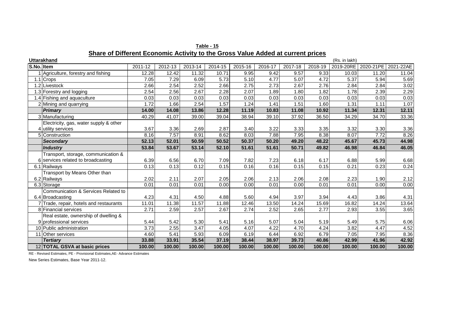| Table - 15                                                                     |  |
|--------------------------------------------------------------------------------|--|
| hare of Different Economic Activity to the Gross Value Added at current prices |  |

|            | Share of Different Economic Activity to the Gross Value Added at current prices |         |         |         |         |         |         |         |         |               |                       |           |
|------------|---------------------------------------------------------------------------------|---------|---------|---------|---------|---------|---------|---------|---------|---------------|-----------------------|-----------|
|            | <b>Uttarakhand</b>                                                              |         |         |         |         |         |         |         |         | (Rs. in lakh) |                       |           |
| S.No. Item |                                                                                 | 2011-12 | 2012-13 | 2013-14 | 2014-15 | 2015-16 | 2016-17 | 2017-18 | 2018-19 |               | 2019-20RE   2020-21PE | 2021-22AE |
|            | 1 Agriculture, forestry and fishing                                             | 12.28   | 12.42   | 11.32   | 10.71   | 9.95    | 9.42    | 9.57    | 9.33    | 10.03         | 11.20                 | 11.04     |
|            | 1.1 Crops                                                                       | 7.05    | 7.29    | 6.09    | 5.73    | 5.10    | 4.77    | 5.07    | 4.72    | 5.37          | 5.94                  | 5.69      |
|            | 1.2 Livestock                                                                   | 2.66    | 2.54    | 2.52    | 2.66    | 2.75    | 2.73    | 2.67    | 2.76    | 2.84          | 2.84                  | 3.02      |
|            | 1.3 Forestry and logging                                                        | 2.54    | 2.56    | 2.67    | 2.28    | 2.07    | 1.89    | 1.80    | 1.82    | 1.78          | 2.39                  | 2.29      |
|            | 1.4 Fishing and aquaculture                                                     | 0.03    | 0.03    | 0.03    | 0.03    | 0.03    | 0.03    | 0.03    | 0.03    | 0.03          | 0.03                  | 0.03      |
|            | 2 Mining and quarrying                                                          | 1.72    | 1.66    | 2.54    | 1.57    | 1.24    | 1.41    | 1.51    | 1.60    | 1.31          | 1.11                  | 1.07      |
|            | <b>Primary</b>                                                                  | 14.00   | 14.08   | 13.86   | 12.28   | 11.19   | 10.83   | 11.08   | 10.92   | 11.34         | 12.31                 | 12.11     |
|            | 3 Manufacturing                                                                 | 40.29   | 41.07   | 39.00   | 39.04   | 38.94   | 39.10   | 37.92   | 36.50   | 34.29         | 34.70                 | 33.36     |
|            | Electricity, gas, water supply & other                                          |         |         |         |         |         |         |         |         |               |                       |           |
|            | 4 utility services                                                              | 3.67    | 3.36    | 2.69    | 2.87    | 3.40    | 3.22    | 3.33    | 3.35    | 3.32          | 3.30                  | 3.36      |
|            | 5 Construction                                                                  | 8.16    | 7.57    | 8.91    | 8.62    | 8.03    | 7.88    | 7.95    | 8.38    | 8.07          | 7.72                  | 8.26      |
|            | <b>Secondary</b>                                                                | 52.13   | 52.01   | 50.59   | 50.52   | 50.37   | 50.20   | 49.20   | 48.22   | 45.67         | 45.73                 | 44.98     |
|            | <b>Industry</b>                                                                 | 53.84   | 53.67   | 53.14   | 52.10   | 51.61   | 51.61   | 50.71   | 49.82   | 46.98         | 46.84                 | 46.05     |
|            | Transport, storage, communication &                                             |         |         |         |         |         |         |         |         |               |                       |           |
|            | 6 services related to broadcasting                                              | 6.39    | 6.56    | 6.70    | 7.09    | 7.82    | 7.23    | 6.18    | 6.17    | 6.88          | 5.99                  | 6.68      |
|            | 6.1 Railways                                                                    | 0.13    | 0.13    | 0.12    | 0.15    | 0.16    | 0.16    | 0.15    | 0.15    | 0.21          | 0.23                  | 0.24      |
|            | Transport by Means Other than                                                   |         |         |         |         |         |         |         |         |               |                       |           |
|            | 6.2 Railways                                                                    | 2.02    | 2.11    | 2.07    | 2.05    | 2.06    | 2.13    | 2.06    | 2.08    | 2.23          | 1.90                  | 2.12      |
|            | 6.3 Storage                                                                     | 0.01    | 0.01    | 0.01    | 0.00    | 0.00    | 0.01    | 0.00    | 0.01    | 0.01          | 0.00                  | 0.00      |
|            | Communication & Services Related to                                             |         |         |         |         |         |         |         |         |               |                       |           |
|            | 6.4 Broadcasting                                                                | 4.23    | 4.31    | 4.50    | 4.88    | 5.60    | 4.94    | 3.97    | 3.94    | 4.43          | 3.86                  | 4.31      |
|            | 7 Trade, repair, hotels and restaurants                                         | 11.01   | 11.38   | 11.57   | 11.88   | 12.46   | 13.50   | 14.24   | 15.69   | 16.82         | 14.24                 | 13.64     |
|            | 8 Financial services                                                            | 2.71    | 2.59    | 2.57    | 2.67    | 2.74    | 2.52    | 2.65    | 2.77    | 2.93          | 3.55                  | 3.65      |
|            | Real estate, ownership of dwelling &                                            |         |         |         |         |         |         |         |         |               |                       |           |
|            | 9 professional services                                                         | 5.44    | 5.42    | 5.30    | 5.41    | 5.16    | 5.07    | 5.04    | 5.19    | 5.49          | 5.75                  | 6.06      |
|            | 10 Public administration                                                        | 3.73    | 2.55    | 3.47    | 4.05    | 4.07    | 4.22    | 4.70    | 4.24    | 3.82          | 4.47                  | 4.52      |
|            | 11 Other services                                                               | 4.60    | 5.41    | 5.93    | 6.09    | 6.19    | 6.44    | 6.92    | 6.79    | 7.05          | 7.95                  | 8.36      |
|            | <b>Tertiary</b>                                                                 | 33.88   | 33.91   | 35.54   | 37.19   | 38.44   | 38.97   | 39.73   | 40.86   | 42.99         | 41.96                 | 42.92     |
|            | 12 TOTAL GSVA at basic prices                                                   | 100.00  | 100.00  | 100.00  | 100.00  | 100.00  | 100.00  | 100.00  | 100.00  | 100.00        | 100.00                | 100.00    |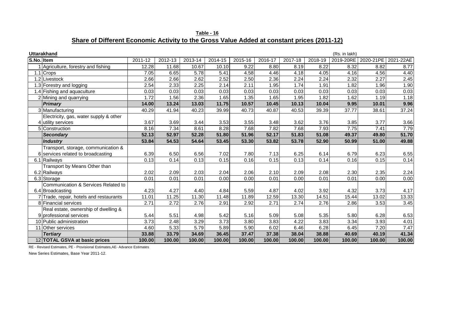**Table - 16 Share of Different Economic Activity to the Gross Value Added at constant prices (2011-12)**

| <b>Uttarakhand</b><br>(Rs. in lakh) |                                         |         |         |         |         |         |         |         |         |           |                     |        |
|-------------------------------------|-----------------------------------------|---------|---------|---------|---------|---------|---------|---------|---------|-----------|---------------------|--------|
| S.No. Item                          |                                         | 2011-12 | 2012-13 | 2013-14 | 2014-15 | 2015-16 | 2016-17 | 2017-18 | 2018-19 | 2019-20RE | 2020-21PE 2021-22AE |        |
|                                     | Agriculture, forestry and fishing       | 12.28   | 11.68   | 10.67   | 10.10   | 9.22    | 8.80    | 8.19    | 8.22    | 8.32      | 8.82                | 8.77   |
|                                     | 1.1 Crops                               | 7.05    | 6.65    | 5.78    | 5.41    | 4.58    | 4.46    | 4.18    | 4.05    | 4.16      | 4.56                | 4.40   |
|                                     | 1.2 Livestock                           | 2.66    | 2.66    | 2.62    | 2.52    | 2.50    | 2.36    | 2.24    | 2.24    | 2.32      | 2.27                | 2.45   |
|                                     | 1.3 Forestry and logging                | 2.54    | 2.33    | 2.25    | 2.14    | 2.11    | 1.95    | 1.74    | 1.91    | 1.82      | 1.96                | 1.90   |
|                                     | 1.4 Fishing and aquaculture             | 0.03    | 0.03    | 0.03    | 0.03    | 0.03    | 0.03    | 0.03    | 0.03    | 0.03      | 0.03                | 0.03   |
|                                     | 2 Mining and quarrying                  | 1.72    | 1.56    | 2.36    | 1.65    | 1.35    | 1.65    | 1.95    | 1.82    | 1.62      | 1.19                | 1.18   |
|                                     | Primary                                 | 14.00   | 13.24   | 13.03   | 11.75   | 10.57   | 10.45   | 10.13   | 10.04   | 9.95      | 10.01               | 9.96   |
|                                     | 3 Manufacturing                         | 40.29   | 41.94   | 40.23   | 39.99   | 40.73   | 40.87   | 40.53   | 39.39   | 37.77     | 38.61               | 37.24  |
|                                     | Electricity, gas, water supply & other  |         |         |         |         |         |         |         |         |           |                     |        |
|                                     | 4 utility services                      | 3.67    | 3.69    | 3.44    | 3.53    | 3.55    | 3.48    | 3.62    | 3.76    | 3.85      | 3.77                | 3.66   |
|                                     | 5 Construction                          | 8.16    | 7.34    | 8.61    | 8.28    | 7.68    | 7.82    | 7.68    | 7.93    | 7.75      | 7.41                | 7.79   |
|                                     | Secondary                               | 52.13   | 52.97   | 52.28   | 51.80   | 51.96   | 52.17   | 51.83   | 51.08   | 49.37     | 49.80               | 51.70  |
|                                     | Industry                                | 53.84   | 54.53   | 54.64   | 53.45   | 53.30   | 53.82   | 53.78   | 52.90   | 50.99     | 51.00               | 49.88  |
|                                     | Transport, storage, communication &     |         |         |         |         |         |         |         |         |           |                     |        |
|                                     | 6 services related to broadcasting      | 6.39    | 6.50    | 6.56    | 7.02    | 7.80    | 7.13    | 6.25    | 6.14    | 6.79      | 6.23                | 6.55   |
|                                     | 6.1 Railways                            | 0.13    | 0.14    | 0.13    | 0.15    | 0.16    | 0.15    | 0.13    | 0.14    | 0.16      | 0.15                | 0.14   |
|                                     | Transport by Means Other than           |         |         |         |         |         |         |         |         |           |                     |        |
|                                     | 6.2 Railways                            | 2.02    | 2.09    | 2.03    | 2.04    | 2.06    | 2.10    | 2.09    | 2.08    | 2.30      | 2.35                | 2.24   |
|                                     | 6.3 Storage                             | 0.01    | 0.01    | 0.01    | 0.00    | 0.00    | 0.01    | 0.00    | 0.01    | 0.01      | 0.00                | 0.00   |
|                                     | Communication & Services Related to     |         |         |         |         |         |         |         |         |           |                     |        |
|                                     | 6.4 Broadcasting                        | 4.23    | 4.27    | 4.40    | 4.84    | 5.59    | 4.87    | 4.02    | 3.92    | 4.32      | 3.73                | 4.17   |
|                                     | 7 Trade, repair, hotels and restaurants | 11.01   | 11.25   | 11.30   | 11.48   | 11.89   | 12.59   | 13.30   | 14.51   | 15.44     | 13.02               | 13.33  |
|                                     | 8 Financial services                    | 2.71    | 2.72    | 2.76    | 2.91    | 2.92    | 2.71    | 2.74    | 2.76    | 2.86      | 3.53                | 3.45   |
|                                     | Real estate, ownership of dwelling &    |         |         |         |         |         |         |         |         |           |                     |        |
|                                     | 9 professional services                 | 5.44    | 5.51    | 4.98    | 5.42    | 5.16    | 5.09    | 5.08    | 5.35    | 5.80      | 6.28                | 6.53   |
|                                     | 10 Public administration                | 3.73    | 2.48    | 3.29    | 3.73    | 3.80    | 3.83    | 4.22    | 3.83    | 3.34      | 3.93                | 4.01   |
|                                     | 11 Other services                       | 4.60    | 5.33    | 5.79    | 5.89    | 5.90    | 6.02    | 6.46    | 6.28    | 6.45      | 7.20                | 7.47   |
|                                     | <b>Tertiary</b>                         | 33.88   | 33.79   | 34.69   | 36.45   | 37.47   | 37.38   | 38.04   | 38.88   | 40.69     | 40.19               | 41.34  |
|                                     | 12 TOTAL GSVA at basic prices           | 100.00  | 100.00  | 100.00  | 100.00  | 100.00  | 100.00  | 100.00  | 100.00  | 100.00    | 100.00              | 100.00 |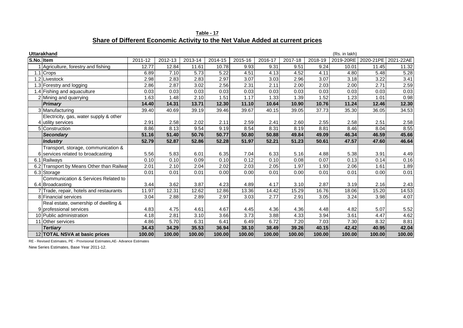|                                                                               | Table - 17 |  |  |
|-------------------------------------------------------------------------------|------------|--|--|
| Share of Different Economic Activity to the Net Value Added at current prices |            |  |  |

|            | <b>Uttarakhand</b>                        |         |         |         |         |         |         |         |         | (Rs. in lakh) |                               |        |
|------------|-------------------------------------------|---------|---------|---------|---------|---------|---------|---------|---------|---------------|-------------------------------|--------|
| S.No. Item |                                           | 2011-12 | 2012-13 | 2013-14 | 2014-15 | 2015-16 | 2016-17 | 2017-18 | 2018-19 |               | 2019-20RE 2020-21PE 2021-22AE |        |
|            | Agriculture, forestry and fishing         | 12.77   | 12.84   | 11.61   | 10.78   | 9.93    | 9.31    | 9.51    | 9.24    | 10.01         | 11.45                         | 11.32  |
|            | 1.1 Crops                                 | 6.89    | 7.10    | 5.73    | 5.22    | 4.51    | 4.13    | 4.52    | 4.11    | 4.80          | 5.48                          | 5.28   |
|            | 1.2 Livestock                             | 2.98    | 2.83    | 2.83    | 2.97    | 3.07    | 3.03    | 2.96    | 3.07    | 3.18          | 3.22                          | 3.41   |
|            | 1.3 Forestry and logging                  | 2.86    | 2.87    | 3.02    | 2.56    | 2.31    | 2.11    | 2.00    | 2.03    | 2.00          | 2.71                          | 2.59   |
|            | 1.4 Fishing and aquaculture               | 0.03    | 0.03    | 0.03    | 0.03    | 0.03    | 0.03    | 0.03    | 0.03    | 0.03          | 0.03                          | 0.03   |
|            | 2 Mining and quarrying                    | 1.63    | 1.48    | 2.10    | 1.51    | 1.17    | 1.33    | 1.39    | 1.52    | 1.23          | 1.01                          | 0.98   |
|            | <b>Primary</b>                            | 14.40   | 14.31   | 13.71   | 12.30   | 11.10   | 10.64   | 10.90   | 10.76   | 11.24         | 12.46                         | 12.30  |
|            | 3 Manufacturing                           | 39.40   | 40.69   | 39.19   | 39.46   | 39.67   | 40.15   | 39.05   | 37.73   | 35.30         | 36.05                         | 34.53  |
|            | Electricity, gas, water supply & other    |         |         |         |         |         |         |         |         |               |                               |        |
|            | 4 utility services                        | 2.91    | 2.58    | 2.02    | 2.11    | 2.59    | 2.41    | 2.60    | 2.55    | 2.58          | 2.51                          | 2.58   |
|            | 5 Construction                            | 8.86    | 8.13    | 9.54    | 9.19    | 8.54    | 8.31    | 8.19    | 8.81    | 8.46          | 8.04                          | 8.55   |
|            | Secondary                                 | 51.16   | 51.40   | 50.76   | 50.77   | 50.80   | 50.88   | 49.84   | 49.09   | 46.34         | 46.59                         | 45.66  |
|            | Industry                                  | 52.79   | 52.87   | 52.86   | 52.28   | 51.97   | 52.21   | 51.23   | 50.61   | 47.57         | 47.60                         | 46.64  |
|            | Transport, storage, communication &       |         |         |         |         |         |         |         |         |               |                               |        |
|            | 6 services related to broadcasting        | 5.56    | 5.83    | 6.01    | 6.35    | 7.04    | 6.33    | 5.16    | 4.88    | 5.38          | 3.91                          | 4.49   |
|            | 6.1 Railways                              | 0.10    | 0.10    | 0.09    | 0.10    | 0.12    | 0.10    | 0.08    | 0.07    | 0.13          | 0.14                          | 0.16   |
|            | 6.2 Transport by Means Other than Railway | 2.01    | 2.10    | 2.04    | 2.02    | 2.03    | 2.05    | 1.97    | 1.93    | 2.06          | 1.61                          | 1.89   |
|            | 6.3 Storage                               | 0.01    | 0.01    | 0.01    | 0.00    | 0.00    | 0.01    | 0.00    | 0.01    | 0.01          | 0.00                          | 0.01   |
|            | Communication & Services Related to       |         |         |         |         |         |         |         |         |               |                               |        |
|            | 6.4 Broadcasting                          | 3.44    | 3.62    | 3.87    | 4.23    | 4.89    | 4.17    | 3.10    | 2.87    | 3.19          | 2.16                          | 2.43   |
|            | 7 Trade, repair, hotels and restaurants   | 11.97   | 12.31   | 12.62   | 12.86   | 13.36   | 14.42   | 15.29   | 16.76   | 18.06         | 15.20                         | 14.53  |
|            | 8 Financial services                      | 3.04    | 2.88    | 2.89    | 2.97    | 3.03    | 2.77    | 2.91    | 3.05    | 3.24          | 3.98                          | 4.07   |
|            | Real estate, ownership of dwelling &      |         |         |         |         |         |         |         |         |               |                               |        |
|            | 9 professional services                   | 4.83    | 4.75    | 4.61    | 4.67    | 4.45    | 4.36    | 4.36    | 4.48    | 4.82          | 5.07                          | 5.52   |
|            | 10 Public administration                  | 4.18    | 2.81    | 3.10    | 3.66    | 3.73    | 3.88    | 4.33    | 3.94    | 3.61          | 4.47                          | 4.62   |
|            | 11 Other services                         | 4.86    | 5.70    | 6.31    | 6.41    | 6.49    | 6.72    | 7.20    | 7.03    | 7.30          | 8.32                          | 8.81   |
|            | <b>Tertiarv</b>                           | 34.43   | 34.29   | 35.53   | 36.94   | 38.10   | 38.49   | 39.26   | 40.15   | 42.42         | 40.95                         | 42.04  |
|            | 12 TOTAL NSVA at basic prices             | 100.00  | 100.00  | 100.00  | 100.00  | 100.00  | 100.00  | 100.00  | 100.00  | 100.00        | 100.00                        | 100.00 |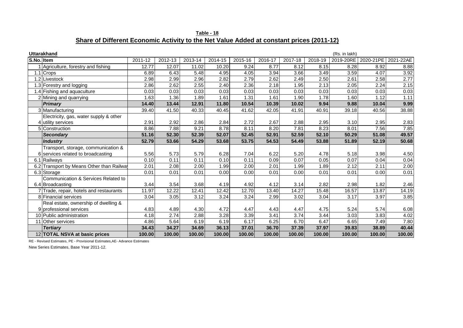| Table - 18                                                                               |  |
|------------------------------------------------------------------------------------------|--|
| Share of Different Economic Activity to the Net Value Added at constant prices (2011-12) |  |

|            | <b>Uttarakhand</b>                        |         |         |         |         |         |         |         |         | (Rs. in lakh) |                     |        |
|------------|-------------------------------------------|---------|---------|---------|---------|---------|---------|---------|---------|---------------|---------------------|--------|
| S.No. Item |                                           | 2011-12 | 2012-13 | 2013-14 | 2014-15 | 2015-16 | 2016-17 | 2017-18 | 2018-19 | 2019-20RE     | 2020-21PE 2021-22AE |        |
|            | Agriculture, forestry and fishing         | 12.77   | 12.07   | 11.02   | 10.20   | 9.24    | 8.77    | 8.12    | 8.15    | 8.28          | 8.92                | 8.88   |
|            | 1.1 Crops                                 | 6.89    | 6.43    | 5.48    | 4.95    | 4.05    | 3.94    | 3.66    | 3.49    | 3.59          | 4.07                | 3.92   |
|            | 1.2 Livestock                             | 2.98    | 2.99    | 2.96    | 2.82    | 2.79    | 2.62    | 2.49    | 2.50    | 2.61          | 2.58                | 2.77   |
|            | 1.3 Forestry and logging                  | 2.86    | 2.62    | 2.55    | 2.40    | 2.36    | 2.18    | 1.95    | 2.13    | 2.05          | 2.24                | 2.15   |
|            | 1.4 Fishing and aquaculture               | 0.03    | 0.03    | 0.03    | 0.03    | 0.03    | 0.03    | 0.03    | 0.03    | 0.03          | 0.03                | 0.03   |
|            | 2 Mining and quarrying                    | 1.63    | 1.36    | 1.89    | 1.61    | 1.31    | 1.61    | 1.90    | 1.78    | 1.60          | 1.12                | 1.11   |
|            | <b>Primary</b>                            | 14.40   | 13.44   | 12.91   | 11.80   | 10.54   | 10.39   | 10.02   | 9.94    | 9.88          | 10.04               | 9.99   |
|            | 3 Manufacturing                           | 39.40   | 41.50   | 40.33   | 40.45   | 41.62   | 42.05   | 41.91   | 40.91   | 39.18         | 40.56               | 38.88  |
|            | Electricity, gas, water supply & other    |         |         |         |         |         |         |         |         |               |                     |        |
|            | 4 utility services                        | 2.91    | 2.92    | 2.86    | 2.84    | 2.72    | 2.67    | 2.88    | 2.95    | 3.10          | 2.95                | 2.83   |
|            | 5 Construction                            | 8.86    | 7.88    | 9.21    | 8.78    | 8.11    | 8.20    | 7.81    | 8.23    | 8.01          | 7.56                | 7.85   |
|            | Secondary                                 | 51.16   | 52.30   | 52.39   | 52.07   | 52.45   | 52.91   | 52.59   | 52.10   | 50.29         | 51.08               | 49.57  |
|            | Industry                                  | 52.79   | 53.66   | 54.29   | 53.68   | 53.75   | 54.53   | 54.49   | 53.88   | 51.89         | 52.19               | 50.68  |
|            | Transport, storage, communication &       |         |         |         |         |         |         |         |         |               |                     |        |
|            | 6 services related to broadcasting        | 5.56    | 5.73    | 5.79    | 6.28    | 7.04    | 6.22    | 5.20    | 4.78    | 5.18          | 3.98                | 4.50   |
|            | 6.1 Railways                              | 0.10    | 0.11    | 0.11    | 0.10    | 0.11    | 0.09    | 0.07    | 0.05    | 0.07          | 0.04                | 0.04   |
|            | 6.2 Transport by Means Other than Railway | 2.01    | 2.08    | 2.00    | 1.99    | 2.00    | 2.01    | 1.99    | 1.89    | 2.12          | 2.11                | 2.00   |
|            | 6.3 Storage                               | 0.01    | 0.01    | 0.01    | 0.00    | 0.00    | 0.01    | 0.00    | 0.01    | 0.01          | 0.00                | 0.01   |
|            | Communication & Services Related to       |         |         |         |         |         |         |         |         |               |                     |        |
|            | 6.4 Broadcasting                          | 3.44    | 3.54    | 3.68    | 4.19    | 4.92    | 4.12    | 3.14    | 2.82    | 2.98          | 1.82                | 2.46   |
|            | 7 Trade, repair, hotels and restaurants   | 11.97   | 12.22   | 12.41   | 12.42   | 12.70   | 13.40   | 14.27   | 15.48   | 16.57         | 13.87               | 14.19  |
|            | 8 Financial services                      | 3.04    | 3.05    | 3.12    | 3.24    | 3.24    | 2.99    | 3.02    | 3.04    | 3.17          | 3.97                | 3.85   |
|            | Real estate, ownership of dwelling &      |         |         |         |         |         |         |         |         |               |                     |        |
|            | 9 professional services                   | 4.83    | 4.89    | 4.30    | 4.72    | 4.47    | 4.43    | 4.47    | 4.75    | 5.24          | 5.74                | 6.08   |
|            | 10 Public administration                  | 4.18    | 2.74    | 2.88    | 3.28    | 3.39    | 3.41    | 3.74    | 3.44    | 3.03          | 3.83                | 4.02   |
|            | 11 Other services                         | 4.86    | 5.64    | 6.19    | 6.19    | 6.17    | 6.25    | 6.70    | 6.47    | 6.65          | 7.49                | 7.80   |
|            | <b>Tertiarv</b>                           | 34.43   | 34.27   | 34.69   | 36.13   | 37.01   | 36.70   | 37.39   | 37.97   | 39.83         | 38.89               | 40.44  |
|            | 12 TOTAL NSVA at basic prices             | 100.00  | 100.00  | 100.00  | 100.00  | 100.00  | 100.00  | 100.00  | 100.00  | 100.00        | 100.00              | 100.00 |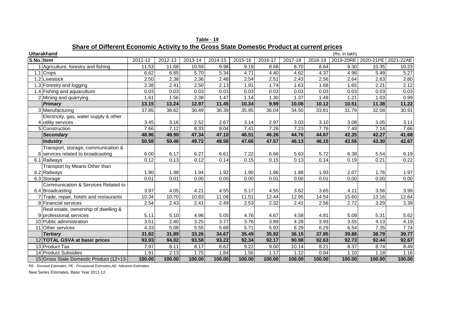| Uttarakhand<br>(Rs. in lakh)            |         |         |         |         |         |         |         |         |           |           |                 |
|-----------------------------------------|---------|---------|---------|---------|---------|---------|---------|---------|-----------|-----------|-----------------|
| S.No. Item                              | 2011-12 | 2012-13 | 2013-14 | 2014-15 | 2015-16 | 2016-17 | 2017-18 | 2018-19 | 2019-20RE | 2020-21PE | 2021<br>$-22AE$ |
| Agriculture, forestry and fishing       | 11.53   | 11.68   | 10.59   | 9.98    | 9.19    | 8.68    | 8.70    | 8.64    | 9.30      | 10.35     | 10.23           |
| 1.1 Crops                               | 6.62    | 6.85    | 5.70    | 5.34    | 4.71    | 4.40    | 4.62    | 4.37    | 4.98      | 5.49      | 5.27            |
| 1.2 Livestock                           | 2.50    | 2.38    | 2.36    | 2.48    | 2.54    | 2.51    | 2.43    | 2.56    | 2.64      | 2.63      | 2.80            |
| 1.3 Forestry and logging                | 2.38    | 2.41    | 2.50    | 2.13    | 1.91    | 1.74    | 1.63    | 1.68    | 1.65      | 2.21      | 2.12            |
| 1.4 Fishing and aquaculture             | 0.03    | 0.03    | 0.03    | 0.03    | 0.03    | 0.03    | 0.03    | 0.03    | 0.03      | 0.03      | 0.03            |
| 2 Mining and quarrying                  | 1.61    | 1.56    | 2.38    | 1.47    | 1.14    | 1.30    | 1.37    | 1.48    | 1.21      | 1.03      | 0.99            |
| <b>Primary</b>                          | 13.15   | 13.24   | 12.97   | 11.45   | 10.34   | 9.99    | 10.08   | 10.12   | 10.51     | 11.38     | 11.22           |
| 3 Manufacturing                         | 37.85   | 38.62   | 36.49   | 36.39   | 35.95   | 36.04   | 34.50   | 33.81   | 31.79     | 32.08     | 30.91           |
| Electricity, gas, water supply & other  |         |         |         |         |         |         |         |         |           |           |                 |
| 4 utility services                      | 3.45    | 3.16    | 2.52    | 2.67    | 3.14    | 2.97    | 3.03    | 3.10    | 3.08      | 3.05      | 3.11            |
| 5 Construction                          | 7.66    | 7.12    | 8.33    | 8.04    | 7.41    | 7.26    | 7.23    | 7.76    | 7.48      | 7.14      | 7.66            |
| <b>Secondary</b>                        | 48.96   | 48.90   | 47.34   | 47.10   | 46.51   | 46.26   | 44.76   | 44.67   | 42.35     | 42.27     | 41.68           |
| <b>Industry</b>                         | 50.58   | 50.46   | 49.72   | 48.56   | 47.66   | 47.57   | 46.13   | 46.15   | 43.56     | 43.30     | 42.67           |
| Transport, storage, communication &     |         |         |         |         |         |         |         |         |           |           |                 |
| 6 services related to broadcasting      | 6.00    | 6.17    | 6.27    | 6.61    | 7.22    | 6.66    | 5.63    | 5.72    | 6.38      | 5.54      | 6.19            |
| 6.1 Railways                            | 0.12    | 0.13    | 0.12    | 0.14    | 0.15    | 0.15    | 0.13    | 0.14    | 0.19      | 0.21      | 0.22            |
| Transport by Means Other than           |         |         |         |         |         |         |         |         |           |           |                 |
| 6.2 Railways                            | 1.90    | 1.98    | 1.94    | 1.92    | 1.90    | 1.96    | 1.88    | 1.93    | 2.07      | 1.76      | 1.97            |
| 6.3 Storage                             | 0.01    | 0.01    | 0.00    | 0.00    | 0.00    | 0.01    | 0.00    | 0.01    | 0.00      | 0.00      | 0.00            |
| Communication & Services Related to     |         |         |         |         |         |         |         |         |           |           |                 |
| 6.4 Broadcasting                        | 3.97    | 4.05    | 4.21    | 4.55    | 5.17    | 4.55    | 3.62    | 3.65    | 4.11      | 3.56      | 3.99            |
| 7 Trade, repair, hotels and restaurants | 10.34   | 10.70   | 10.83   | 11.08   | 11.51   | 12.44   | 12.95   | 14.54   | 15.60     | 13.16     | 12.64           |
| 8 Financial services                    | 2.54    | 2.43    | 2.41    | 2.49    | 2.53    | 2.32    | 2.41    | 2.56    | 2.72      | 3.29      | 3.39            |
| Real estate, ownership of dwelling &    |         |         |         |         |         |         |         |         |           |           |                 |
| 9 professional services                 | 5.11    | 5.10    | 4.96    | 5.05    | 4.76    | 4.67    | 4.58    | 4.81    | 5.09      | 5.31      | 5.62            |
| 10 Public administration                | 3.51    | 2.40    | 3.25    | 3.77    | 3.76    | 3.89    | 4.28    | 3.93    | 3.55      | 4.13      | 4.19            |
| 11 Other services                       | 4.33    | 5.08    | 5.55    | 5.68    | 5.71    | 5.93    | 6.29    | 6.29    | 6.54      | 7.35      | 7.74            |
| <b>Tertiary</b>                         | 31.82   | 31.89   | 33.26   | 34.67   | 35.49   | 35.92   | 36.15   | 37.85   | 39.86     | 38.79     | 39.77           |
| 12 TOTAL GSVA at basic prices           | 93.93   | 94.02   | 93.58   | 93.22   | 92.34   | 92.17   | 90.98   | 92.63   | 92.73     | 92.44     | 92.67           |
| 13 Product Tax                          | 7.97    | 8.11    | 8.17    | 8.62    | 9.22    | 9.00    | 10.14   | 8.21    | 8.37      | 8.74      | 8.49            |
| 14 Product Subsidies                    | 1.91    | 2.13    | 1.75    | 1.84    | 1.56    | 1.17    | 1.12    | 0.84    | 1.10      | 1.18      | 1.16            |
| 15 Gross State Domestic Product (12+13- | 100.00  | 100.00  | 100.00  | 100.00  | 100.00  | 100.00  | 100.00  | 100.00  | 100.00    | 100.00    | 100.00          |

**Table - 19 Share of Different Economic Activity to the Gross State Domestic Product at current prices**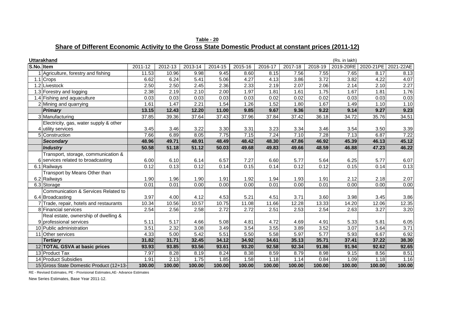| Table - 20                                                                                            |  |
|-------------------------------------------------------------------------------------------------------|--|
| Share of Different Economic Activity to the Gross State Domestic Product at constant prices (2011-12) |  |

|            | <b>Uttarakhand</b>                      |         |         |         |         |         |         |         |         | (Rs. in lakh) |           |           |
|------------|-----------------------------------------|---------|---------|---------|---------|---------|---------|---------|---------|---------------|-----------|-----------|
| S.No. Item |                                         | 2011-12 | 2012-13 | 2013-14 | 2014-15 | 2015-16 | 2016-17 | 2017-18 | 2018-19 | 2019-20RE     | 2020-21PE | 2021-22AE |
|            | Agriculture, forestry and fishing       | 11.53   | 10.96   | 9.98    | 9.45    | 8.60    | 8.15    | 7.56    | 7.55    | 7.65          | 8.17      | 8.13      |
|            | 1.1 Crops                               | 6.62    | 6.24    | 5.41    | 5.06    | 4.27    | 4.13    | 3.86    | 3.72    | 3.82          | 4.22      | 4.07      |
|            | 1.2 Livestock                           | 2.50    | 2.50    | 2.45    | 2.36    | 2.33    | 2.19    | 2.07    | 2.06    | 2.14          | 2.10      | 2.27      |
|            | 1.3 Forestry and logging                | 2.38    | 2.19    | 2.10    | 2.00    | 1.97    | 1.81    | 1.61    | 1.75    | 1.67          | 1.81      | 1.76      |
|            | 1.4 Fishing and aquaculture             | 0.03    | 0.03    | 0.03    | 0.03    | 0.03    | 0.02    | 0.02    | 0.02    | 0.03          | 0.03      | 0.03      |
|            | 2 Mining and quarrying                  | 1.61    | 1.47    | 2.21    | 1.54    | 1.26    | 1.52    | 1.80    | 1.67    | 1.49          | 1.10      | 1.10      |
|            | <b>Primary</b>                          | 13.15   | 12.43   | 12.20   | 11.00   | 9.85    | 9.67    | 9.36    | 9.22    | 9.14          | 9.27      | 9.23      |
|            | 3 Manufacturing                         | 37.85   | 39.36   | 37.64   | 37.43   | 37.96   | 37.84   | 37.42   | 36.18   | 34.72         | 35.76     | 34.51     |
|            | Electricity, gas, water supply & other  |         |         |         |         |         |         |         |         |               |           |           |
|            | 4 utility services                      | 3.45    | 3.46    | 3.22    | 3.30    | 3.31    | 3.23    | 3.34    | 3.46    | 3.54          | 3.50      | 3.39      |
|            | 5 Construction                          | 7.66    | 6.89    | 8.05    | 7.75    | 7.15    | 7.24    | 7.10    | 7.28    | 7.13          | 6.87      | 7.22      |
|            | <b>Secondary</b>                        | 48.96   | 49.71   | 48.91   | 48.49   | 48.42   | 48.30   | 47.86   | 46.92   | 45.39         | 46.13     | 45.12     |
|            | <b>Industry</b>                         | 50.58   | 51.18   | 51.12   | 50.03   | 49.68   | 49.83   | 49.66   | 48.59   | 46.88         | 47.23     | 46.22     |
|            | Transport, storage, communication &     |         |         |         |         |         |         |         |         |               |           |           |
|            | 6 services related to broadcasting      | 6.00    | 6.10    | 6.14    | 6.57    | 7.27    | 6.60    | 5.77    | 5.64    | 6.25          | 5.77      | 6.07      |
|            | 6.1 Railways                            | 0.12    | 0.13    | 0.12    | 0.14    | 0.15    | 0.14    | 0.12    | 0.12    | 0.15          | 0.14      | 0.13      |
|            | Transport by Means Other than           |         |         |         |         |         |         |         |         |               |           |           |
|            | 6.2 Railways                            | 1.90    | 1.96    | 1.90    | 1.91    | 1.92    | 1.94    | 1.93    | 1.91    | 2.12          | 2.18      | 2.07      |
|            | 6.3 Storage                             | 0.01    | 0.01    | 0.00    | 0.00    | 0.00    | 0.01    | 0.00    | 0.01    | 0.00          | 0.00      | 0.00      |
|            | Communication & Services Related to     |         |         |         |         |         |         |         |         |               |           |           |
|            | 6.4 Broadcasting                        | 3.97    | 4.00    | 4.12    | 4.53    | 5.21    | 4.51    | 3.71    | 3.60    | 3.98          | 3.45      | 3.86      |
|            | 7 Trade, repair, hotels and restaurants | 10.34   | 10.56   | 10.57   | 10.75   | 11.08   | 11.66   | 12.28   | 13.33   | 14.20         | 12.06     | 12.35     |
|            | 8 Financial services                    | 2.54    | 2.56    | 2.58    | 2.72    | 2.72    | 2.51    | 2.53    | 2.54    | 2.63          | 3.27      | 3.20      |
|            | Real estate, ownership of dwelling &    |         |         |         |         |         |         |         |         |               |           |           |
|            | 9 professional services                 | 5.11    | 5.17    | 4.66    | 5.08    | 4.81    | 4.72    | 4.69    | 4.91    | 5.33          | 5.81      | 6.05      |
|            | 10 Public administration                | 3.51    | 2.32    | 3.08    | 3.49    | 3.54    | 3.55    | 3.89    | 3.52    | 3.07          | 3.64      | 3.71      |
|            | 11 Other services                       | 4.33    | 5.00    | 5.42    | 5.51    | 5.50    | 5.58    | 5.97    | 5.77    | 5.93          | 6.67      | 6.92      |
|            | <b>Tertiary</b>                         | 31.82   | 31.71   | 32.45   | 34.12   | 34.92   | 34.61   | 35.13   | 35.71   | 37.41         | 37.22     | 38.30     |
|            | 12 TOTAL GSVA at basic prices           | 93.93   | 93.85   | 93.56   | 93.61   | 93.20   | 92.58   | 92.34   | 91.86   | 91.94         | 92.62     | 92.65     |
|            | 13 Product Tax                          | 7.97    | 8.28    | 8.19    | 8.24    | 8.38    | 8.59    | 8.79    | 8.98    | 9.15          | 8.56      | 8.51      |
|            | 14 Product Subsidies                    | 1.91    | 2.13    | 1.75    | 1.85    | 1.58    | 1.18    | 1.14    | 0.84    | 1.09          | 1.18      | 1.16      |
|            | 15 Gross State Domestic Product (12+13- | 100.00  | 100.00  | 100.00  | 100.00  | 100.00  | 100.00  | 100.00  | 100.00  | 100.00        | 100.00    | 100.00    |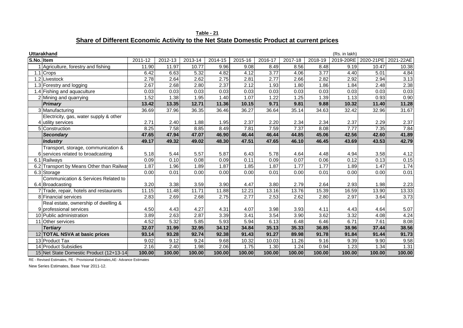| Table - 21                                                                               |  |
|------------------------------------------------------------------------------------------|--|
| Share of Different Economic Activity to the Net State Domestic Product at current prices |  |

|            | <b>Uttarakhand</b>                      |         |         |         |         |         |         |         |         | (Rs. in lakh) |           |           |
|------------|-----------------------------------------|---------|---------|---------|---------|---------|---------|---------|---------|---------------|-----------|-----------|
| S.No. Item |                                         | 2011-12 | 2012-13 | 2013-14 | 2014-15 | 2015-16 | 2016-17 | 2017-18 | 2018-19 | 2019-20RE     | 2020-21PE | 2021-22AE |
|            | Agriculture, forestry and fishing       | 11.90   | 11.97   | 10.77   | 9.96    | 9.08    | 8.49    | 8.56    | 8.48    | 9.19          | 10.47     | 10.38     |
|            | 1.1 Crops                               | 6.42    | 6.63    | 5.32    | 4.82    | 4.12    | 3.77    | 4.06    | 3.77    | 4.40          | 5.01      | 4.84      |
|            | 1.2 Livestock                           | 2.78    | 2.64    | 2.62    | 2.75    | 2.81    | 2.77    | 2.66    | 2.82    | 2.92          | 2.94      | 3.13      |
|            | 1.3 Forestry and logging                | 2.67    | 2.68    | 2.80    | 2.37    | 2.12    | 1.93    | 1.80    | 1.86    | 1.84          | 2.48      | 2.38      |
|            | 1.4 Fishing and aquaculture             | 0.03    | 0.03    | 0.03    | 0.03    | 0.03    | 0.03    | 0.03    | 0.03    | 0.03          | 0.03      | 0.03      |
|            | 2 Mining and quarrying                  | 1.52    | 1.38    | 1.95    | 1.40    | 1.07    | 1.22    | 1.25    | 1.39    | 1.13          | 0.93      | 0.90      |
|            | <b>Primary</b>                          | 13.42   | 13.35   | 12.71   | 11.36   | 10.15   | 9.71    | 9.81    | 9.88    | 10.32         | 11.40     | 11.28     |
|            | 3 Manufacturing                         | 36.69   | 37.96   | 36.35   | 36.46   | 36.27   | 36.64   | 35.14   | 34.63   | 32.42         | 32.96     | 31.67     |
|            | Electricity, gas, water supply & other  |         |         |         |         |         |         |         |         |               |           |           |
|            | utility services                        | 2.71    | 2.40    | 1.88    | 1.95    | 2.37    | 2.20    | 2.34    | 2.34    | 2.37          | 2.29      | 2.37      |
|            | 5 Construction                          | 8.25    | 7.58    | 8.85    | 8.49    | 7.81    | 7.59    | 7.37    | 8.08    | 7.77          | 7.35      | 7.84      |
|            | <b>Secondary</b>                        | 47.65   | 47.94   | 47.07   | 46.90   | 46.44   | 46.44   | 44.85   | 45.06   | 42.56         | 42.60     | 41.89     |
|            | <b>Industry</b>                         | 49.17   | 49.32   | 49.02   | 48.30   | 47.51   | 47.65   | 46.10   | 46.45   | 43.69         | 43.53     | 42.79     |
|            | Transport, storage, communication &     |         |         |         |         |         |         |         |         |               |           |           |
|            | 6 services related to broadcasting      | 5.18    | 5.44    | 5.57    | 5.87    | 6.43    | 5.78    | 4.64    | 4.48    | 4.94          | 3.58      | 4.12      |
|            | 6.1 Railways                            | 0.09    | 0.10    | 0.08    | 0.09    | 0.11    | 0.09    | 0.07    | 0.06    | 0.12          | 0.13      | 0.15      |
|            | Transport by Means Other than Railwa    | 1.87    | 1.96    | 1.89    | 1.87    | 1.85    | 1.87    | 1.77    | 1.77    | 1.89          | 1.47      | 1.74      |
|            | 6.3 Storage                             | 0.00    | 0.01    | 0.00    | 0.00    | 0.00    | 0.01    | 0.00    | 0.01    | 0.00          | 0.00      | 0.01      |
|            | Communication & Services Related to     |         |         |         |         |         |         |         |         |               |           |           |
|            | 6.4 Broadcasting                        | 3.20    | 3.38    | 3.59    | 3.90    | 4.47    | 3.80    | 2.79    | 2.64    | 2.93          | 1.98      | 2.23      |
|            | 7 Trade, repair, hotels and restaurants | 11.15   | 11.48   | 11.71   | 11.88   | 12.21   | 13.16   | 13.76   | 15.39   | 16.59         | 13.90     | 13.33     |
|            | 8 Financial services                    | 2.83    | 2.69    | 2.68    | 2.75    | 2.77    | 2.53    | 2.62    | 2.80    | 2.97          | 3.64      | 3.73      |
|            | Real estate, ownership of dwelling &    |         |         |         |         |         |         |         |         |               |           |           |
|            | 9 professional services                 | 4.50    | 4.43    | 4.27    | 4.31    | 4.07    | 3.98    | 3.93    | 4.11    | 4.43          | 4.64      | 5.07      |
|            | 10 Public administration                | 3.89    | 2.63    | 2.87    | 3.39    | 3.41    | 3.54    | 3.90    | 3.62    | 3.32          | 4.08      | 4.24      |
|            | 11 Other services                       | 4.52    | 5.32    | 5.85    | 5.93    | 5.94    | 6.13    | 6.48    | 6.46    | 6.71          | 7.61      | 8.08      |
|            | <b>Tertiary</b>                         | 32.07   | 31.99   | 32.95   | 34.12   | 34.84   | 35.13   | 35.33   | 36.85   | 38.96         | 37.44     | 38.56     |
|            | 12 TOTAL NSVA at basic prices           | 93.14   | 93.28   | 92.74   | 92.38   | 91.43   | 91.27   | 89.98   | 91.78   | 91.84         | 91.44     | 91.73     |
|            | 13 Product Tax                          | 9.02    | 9.12    | 9.24    | 9.68    | 10.32   | 10.03   | 11.26   | 9.16    | 9.39          | 9.90      | 9.58      |
|            | 14 Product Subsidies                    | 2.16    | 2.40    | 1.98    | 2.06    | 1.75    | 1.30    | 1.24    | 0.94    | 1.23          | 1.34      | 1.31      |
|            | 15 Net State Domestic Product (12+13-14 | 100.00  | 100.00  | 100.00  | 100.00  | 100.00  | 100.00  | 100.00  | 100.00  | 100.00        | 100.00    | 100.00    |